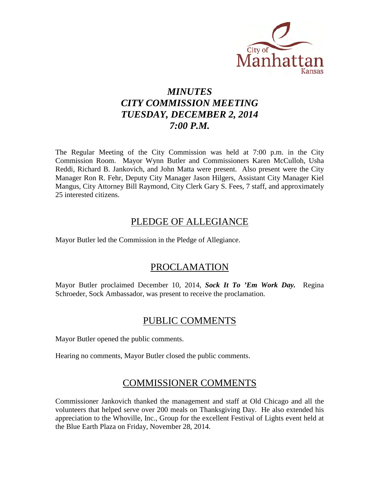

## *MINUTES CITY COMMISSION MEETING TUESDAY, DECEMBER 2, 2014 7:00 P.M.*

The Regular Meeting of the City Commission was held at 7:00 p.m. in the City Commission Room. Mayor Wynn Butler and Commissioners Karen McCulloh, Usha Reddi, Richard B. Jankovich, and John Matta were present. Also present were the City Manager Ron R. Fehr, Deputy City Manager Jason Hilgers, Assistant City Manager Kiel Mangus, City Attorney Bill Raymond, City Clerk Gary S. Fees, 7 staff, and approximately 25 interested citizens.

## PLEDGE OF ALLEGIANCE

Mayor Butler led the Commission in the Pledge of Allegiance.

## PROCLAMATION

Mayor Butler proclaimed December 10, 2014, *Sock It To 'Em Work Day.* Regina Schroeder, Sock Ambassador, was present to receive the proclamation.

## PUBLIC COMMENTS

Mayor Butler opened the public comments.

Hearing no comments, Mayor Butler closed the public comments.

## COMMISSIONER COMMENTS

Commissioner Jankovich thanked the management and staff at Old Chicago and all the volunteers that helped serve over 200 meals on Thanksgiving Day. He also extended his appreciation to the Whoville, Inc., Group for the excellent Festival of Lights event held at the Blue Earth Plaza on Friday, November 28, 2014.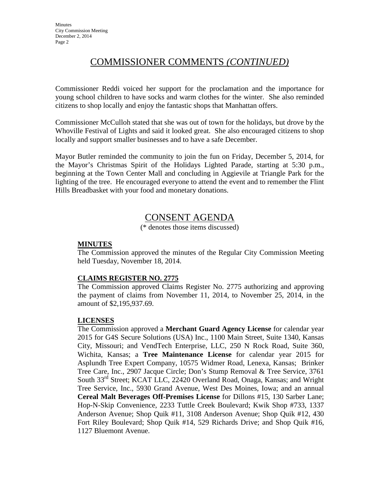## COMMISSIONER COMMENTS *(CONTINUED)*

Commissioner Reddi voiced her support for the proclamation and the importance for young school children to have socks and warm clothes for the winter. She also reminded citizens to shop locally and enjoy the fantastic shops that Manhattan offers.

Commissioner McCulloh stated that she was out of town for the holidays, but drove by the Whoville Festival of Lights and said it looked great. She also encouraged citizens to shop locally and support smaller businesses and to have a safe December.

Mayor Butler reminded the community to join the fun on Friday, December 5, 2014, for the Mayor's Christmas Spirit of the Holidays Lighted Parade, starting at 5:30 p.m., beginning at the Town Center Mall and concluding in Aggievile at Triangle Park for the lighting of the tree. He encouraged everyone to attend the event and to remember the Flint Hills Breadbasket with your food and monetary donations.

## CONSENT AGENDA

(\* denotes those items discussed)

## **MINUTES**

The Commission approved the minutes of the Regular City Commission Meeting held Tuesday, November 18, 2014.

## **CLAIMS REGISTER NO. 2775**

The Commission approved Claims Register No. 2775 authorizing and approving the payment of claims from November 11, 2014, to November 25, 2014, in the amount of \$2,195,937.69.

## **LICENSES**

The Commission approved a **Merchant Guard Agency License** for calendar year 2015 for G4S Secure Solutions (USA) Inc., 1100 Main Street, Suite 1340, Kansas City, Missouri; and VendTech Enterprise, LLC, 250 N Rock Road, Suite 360, Wichita, Kansas; a **Tree Maintenance License** for calendar year 2015 for Asplundh Tree Expert Company, 10575 Widmer Road, Lenexa, Kansas; Brinker Tree Care, Inc., 2907 Jacque Circle; Don's Stump Removal & Tree Service, 3761 South 33rd Street; KCAT LLC, 22420 Overland Road, Onaga, Kansas; and Wright Tree Service, Inc., 5930 Grand Avenue, West Des Moines, Iowa; and an annual **Cereal Malt Beverages Off-Premises License** for Dillons #15, 130 Sarber Lane; Hop-N-Skip Convenience, 2233 Tuttle Creek Boulevard; Kwik Shop #733, 1337 Anderson Avenue; Shop Quik #11, 3108 Anderson Avenue; Shop Quik #12, 430 Fort Riley Boulevard; Shop Quik #14, 529 Richards Drive; and Shop Quik #16, 1127 Bluemont Avenue.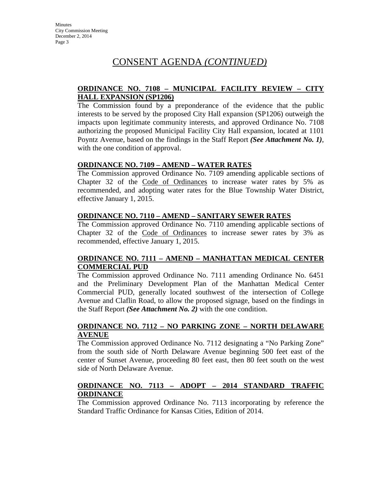## **ORDINANCE NO. 7108 – MUNICIPAL FACILITY REVIEW – CITY HALL EXPANSION (SP1206)**

The Commission found by a preponderance of the evidence that the public interests to be served by the proposed City Hall expansion (SP1206) outweigh the impacts upon legitimate community interests, and approved Ordinance No. 7108 authorizing the proposed Municipal Facility City Hall expansion, located at 1101 Poyntz Avenue, based on the findings in the Staff Report *(See Attachment No. 1)*, with the one condition of approval.

## **ORDINANCE NO. 7109 – AMEND – WATER RATES**

The Commission approved Ordinance No. 7109 amending applicable sections of Chapter 32 of the Code of Ordinances to increase water rates by 5% as recommended, and adopting water rates for the Blue Township Water District, effective January 1, 2015.

### **ORDINANCE NO. 7110 – AMEND – SANITARY SEWER RATES**

The Commission approved Ordinance No. 7110 amending applicable sections of Chapter 32 of the Code of Ordinances to increase sewer rates by 3% as recommended, effective January 1, 2015.

## **ORDINANCE NO. 7111 – AMEND – MANHATTAN MEDICAL CENTER COMMERCIAL PUD**

The Commission approved Ordinance No. 7111 amending Ordinance No. 6451 and the Preliminary Development Plan of the Manhattan Medical Center Commercial PUD, generally located southwest of the intersection of College Avenue and Claflin Road, to allow the proposed signage, based on the findings in the Staff Report *(See Attachment No. 2)* with the one condition.

### **ORDINANCE NO. 7112 – NO PARKING ZONE – NORTH DELAWARE AVENUE**

The Commission approved Ordinance No. 7112 designating a "No Parking Zone" from the south side of North Delaware Avenue beginning 500 feet east of the center of Sunset Avenue, proceeding 80 feet east, then 80 feet south on the west side of North Delaware Avenue.

### **ORDINANCE NO. 7113 – ADOPT – 2014 STANDARD TRAFFIC ORDINANCE**

The Commission approved Ordinance No. 7113 incorporating by reference the Standard Traffic Ordinance for Kansas Cities, Edition of 2014.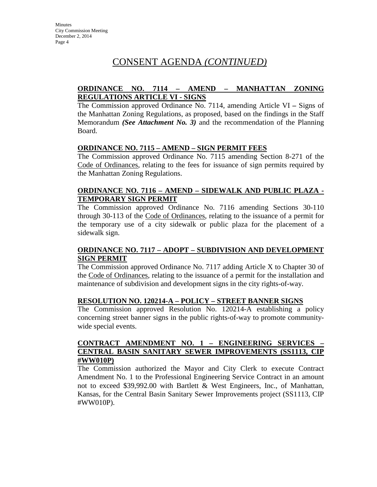## **ORDINANCE NO. 7114 – AMEND – MANHATTAN ZONING REGULATIONS ARTICLE VI - SIGNS**

The Commission approved Ordinance No. 7114, amending Article VI **–** Signs of the Manhattan Zoning Regulations, as proposed, based on the findings in the Staff Memorandum *(See Attachment No. 3)* and the recommendation of the Planning Board.

## **ORDINANCE NO. 7115 – AMEND – SIGN PERMIT FEES**

The Commission approved Ordinance No. 7115 amending Section 8-271 of the Code of Ordinances, relating to the fees for issuance of sign permits required by the Manhattan Zoning Regulations.

## **ORDINANCE NO. 7116 – AMEND – SIDEWALK AND PUBLIC PLAZA - TEMPORARY SIGN PERMIT**

The Commission approved Ordinance No. 7116 amending Sections 30-110 through 30-113 of the Code of Ordinances, relating to the issuance of a permit for the temporary use of a city sidewalk or public plaza for the placement of a sidewalk sign.

## **ORDINANCE NO. 7117 – ADOPT – SUBDIVISION AND DEVELOPMENT SIGN PERMIT**

The Commission approved Ordinance No. 7117 adding Article X to Chapter 30 of the Code of Ordinances, relating to the issuance of a permit for the installation and maintenance of subdivision and development signs in the city rights-of-way.

## **RESOLUTION NO. 120214-A – POLICY – STREET BANNER SIGNS**

The Commission approved Resolution No. 120214-A establishing a policy concerning street banner signs in the public rights-of-way to promote communitywide special events.

### **CONTRACT AMENDMENT NO. 1 – ENGINEERING SERVICES – CENTRAL BASIN SANITARY SEWER IMPROVEMENTS (SS1113, CIP #WW010P)**

The Commission authorized the Mayor and City Clerk to execute Contract Amendment No. 1 to the Professional Engineering Service Contract in an amount not to exceed \$39,992.00 with Bartlett & West Engineers, Inc., of Manhattan, Kansas, for the Central Basin Sanitary Sewer Improvements project (SS1113, CIP #WW010P).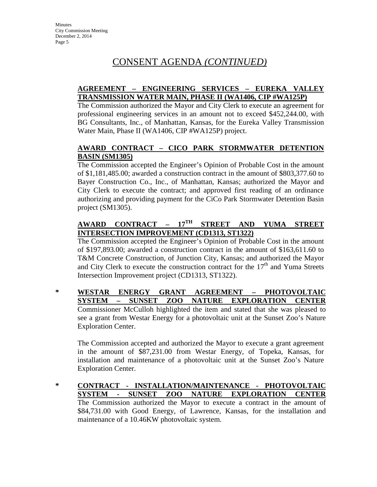## **AGREEMENT – ENGINEERING SERVICES – EUREKA VALLEY TRANSMISSION WATER MAIN, PHASE II (WA1406, CIP #WA125P)**

The Commission authorized the Mayor and City Clerk to execute an agreement for professional engineering services in an amount not to exceed \$452,244.00, with BG Consultants, Inc., of Manhattan, Kansas, for the Eureka Valley Transmission Water Main, Phase II (WA1406, CIP #WA125P) project.

## **AWARD CONTRACT – CICO PARK STORMWATER DETENTION BASIN (SM1305)**

The Commission accepted the Engineer's Opinion of Probable Cost in the amount of \$1,181,485.00; awarded a construction contract in the amount of \$803,377.60 to Bayer Construction Co., Inc., of Manhattan, Kansas; authorized the Mayor and City Clerk to execute the contract; and approved first reading of an ordinance authorizing and providing payment for the CiCo Park Stormwater Detention Basin project (SM1305).

## **AWARD CONTRACT – 17TH STREET AND YUMA STREET INTERSECTION IMPROVEMENT (CD1313, ST1322)**

The Commission accepted the Engineer's Opinion of Probable Cost in the amount of \$197,893.00; awarded a construction contract in the amount of \$163,611.60 to T&M Concrete Construction, of Junction City, Kansas; and authorized the Mayor and City Clerk to execute the construction contract for the  $17<sup>th</sup>$  and Yuma Streets Intersection Improvement project (CD1313, ST1322).

### **\* WESTAR ENERGY GRANT AGREEMENT – PHOTOVOLTAIC SYSTEM – SUNSET ZOO NATURE EXPLORATION CENTER** Commissioner McCulloh highlighted the item and stated that she was pleased to see a grant from Westar Energy for a photovoltaic unit at the Sunset Zoo's Nature Exploration Center.

The Commission accepted and authorized the Mayor to execute a grant agreement in the amount of \$87,231.00 from Westar Energy, of Topeka, Kansas, for installation and maintenance of a photovoltaic unit at the Sunset Zoo's Nature Exploration Center.

**\* CONTRACT - INSTALLATION/MAINTENANCE - PHOTOVOLTAIC SYSTEM - SUNSET ZOO NATURE EXPLORATION CENTER** The Commission authorized the Mayor to execute a contract in the amount of \$84,731.00 with Good Energy, of Lawrence, Kansas, for the installation and maintenance of a 10.46KW photovoltaic system.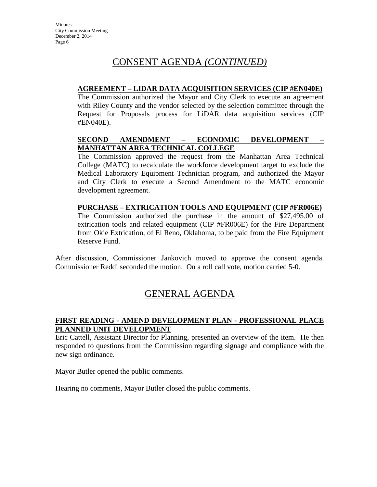## **AGREEMENT – LIDAR DATA ACQUISITION SERVICES (CIP #EN040E)**

The Commission authorized the Mayor and City Clerk to execute an agreement with Riley County and the vendor selected by the selection committee through the Request for Proposals process for LiDAR data acquisition services (CIP #EN040E).

## **SECOND AMENDMENT – ECONOMIC DEVELOPMENT – MANHATTAN AREA TECHNICAL COLLEGE**

The Commission approved the request from the Manhattan Area Technical College (MATC) to recalculate the workforce development target to exclude the Medical Laboratory Equipment Technician program, and authorized the Mayor and City Clerk to execute a Second Amendment to the MATC economic development agreement.

## **PURCHASE – EXTRICATION TOOLS AND EQUIPMENT (CIP #FR006E)**

The Commission authorized the purchase in the amount of \$27,495.00 of extrication tools and related equipment (CIP #FR006E) for the Fire Department from Okie Extrication, of El Reno, Oklahoma, to be paid from the Fire Equipment Reserve Fund.

After discussion, Commissioner Jankovich moved to approve the consent agenda. Commissioner Reddi seconded the motion. On a roll call vote, motion carried 5-0.

## GENERAL AGENDA

## **FIRST READING - AMEND DEVELOPMENT PLAN - PROFESSIONAL PLACE PLANNED UNIT DEVELOPMENT**

Eric Cattell, Assistant Director for Planning, presented an overview of the item. He then responded to questions from the Commission regarding signage and compliance with the new sign ordinance.

Mayor Butler opened the public comments.

Hearing no comments, Mayor Butler closed the public comments.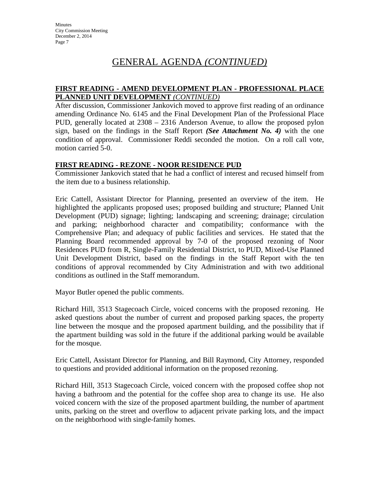## **FIRST READING - AMEND DEVELOPMENT PLAN - PROFESSIONAL PLACE PLANNED UNIT DEVELOPMENT** *(CONTINUED)*

After discussion, Commissioner Jankovich moved to approve first reading of an ordinance amending Ordinance No. 6145 and the Final Development Plan of the Professional Place PUD, generally located at 2308 – 2316 Anderson Avenue, to allow the proposed pylon sign, based on the findings in the Staff Report *(See Attachment No. 4)* with the one condition of approval. Commissioner Reddi seconded the motion. On a roll call vote, motion carried 5-0.

## **FIRST READING - REZONE - NOOR RESIDENCE PUD**

Commissioner Jankovich stated that he had a conflict of interest and recused himself from the item due to a business relationship.

Eric Cattell, Assistant Director for Planning, presented an overview of the item. He highlighted the applicants proposed uses; proposed building and structure; Planned Unit Development (PUD) signage; lighting; landscaping and screening; drainage; circulation and parking; neighborhood character and compatibility; conformance with the Comprehensive Plan; and adequacy of public facilities and services. He stated that the Planning Board recommended approval by 7-0 of the proposed rezoning of Noor Residences PUD from R, Single-Family Residential District, to PUD, Mixed-Use Planned Unit Development District, based on the findings in the Staff Report with the ten conditions of approval recommended by City Administration and with two additional conditions as outlined in the Staff memorandum.

Mayor Butler opened the public comments.

Richard Hill, 3513 Stagecoach Circle, voiced concerns with the proposed rezoning. He asked questions about the number of current and proposed parking spaces, the property line between the mosque and the proposed apartment building, and the possibility that if the apartment building was sold in the future if the additional parking would be available for the mosque.

Eric Cattell, Assistant Director for Planning, and Bill Raymond, City Attorney, responded to questions and provided additional information on the proposed rezoning.

Richard Hill, 3513 Stagecoach Circle, voiced concern with the proposed coffee shop not having a bathroom and the potential for the coffee shop area to change its use. He also voiced concern with the size of the proposed apartment building, the number of apartment units, parking on the street and overflow to adjacent private parking lots, and the impact on the neighborhood with single-family homes.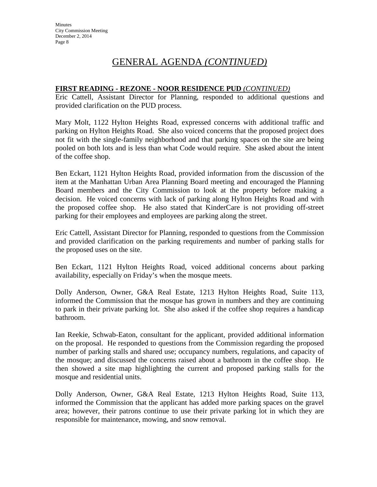## **FIRST READING - REZONE - NOOR RESIDENCE PUD** *(CONTINUED)*

Eric Cattell, Assistant Director for Planning, responded to additional questions and provided clarification on the PUD process.

Mary Molt, 1122 Hylton Heights Road, expressed concerns with additional traffic and parking on Hylton Heights Road. She also voiced concerns that the proposed project does not fit with the single-family neighborhood and that parking spaces on the site are being pooled on both lots and is less than what Code would require. She asked about the intent of the coffee shop.

Ben Eckart, 1121 Hylton Heights Road, provided information from the discussion of the item at the Manhattan Urban Area Planning Board meeting and encouraged the Planning Board members and the City Commission to look at the property before making a decision. He voiced concerns with lack of parking along Hylton Heights Road and with the proposed coffee shop. He also stated that KinderCare is not providing off-street parking for their employees and employees are parking along the street.

Eric Cattell, Assistant Director for Planning, responded to questions from the Commission and provided clarification on the parking requirements and number of parking stalls for the proposed uses on the site.

Ben Eckart, 1121 Hylton Heights Road, voiced additional concerns about parking availability, especially on Friday's when the mosque meets.

Dolly Anderson, Owner, G&A Real Estate, 1213 Hylton Heights Road, Suite 113, informed the Commission that the mosque has grown in numbers and they are continuing to park in their private parking lot. She also asked if the coffee shop requires a handicap bathroom.

Ian Reekie, Schwab-Eaton, consultant for the applicant, provided additional information on the proposal. He responded to questions from the Commission regarding the proposed number of parking stalls and shared use; occupancy numbers, regulations, and capacity of the mosque; and discussed the concerns raised about a bathroom in the coffee shop. He then showed a site map highlighting the current and proposed parking stalls for the mosque and residential units.

Dolly Anderson, Owner, G&A Real Estate, 1213 Hylton Heights Road, Suite 113, informed the Commission that the applicant has added more parking spaces on the gravel area; however, their patrons continue to use their private parking lot in which they are responsible for maintenance, mowing, and snow removal.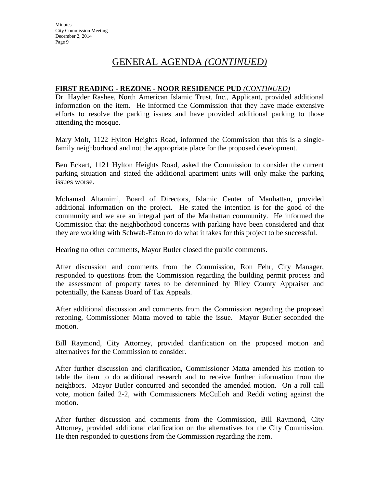### **FIRST READING - REZONE - NOOR RESIDENCE PUD** *(CONTINUED)*

Dr. Hayder Rashee, North American Islamic Trust, Inc., Applicant, provided additional information on the item. He informed the Commission that they have made extensive efforts to resolve the parking issues and have provided additional parking to those attending the mosque.

Mary Molt, 1122 Hylton Heights Road, informed the Commission that this is a singlefamily neighborhood and not the appropriate place for the proposed development.

Ben Eckart, 1121 Hylton Heights Road, asked the Commission to consider the current parking situation and stated the additional apartment units will only make the parking issues worse.

Mohamad Altamimi, Board of Directors, Islamic Center of Manhattan, provided additional information on the project. He stated the intention is for the good of the community and we are an integral part of the Manhattan community. He informed the Commission that the neighborhood concerns with parking have been considered and that they are working with Schwab-Eaton to do what it takes for this project to be successful.

Hearing no other comments, Mayor Butler closed the public comments.

After discussion and comments from the Commission, Ron Fehr, City Manager, responded to questions from the Commission regarding the building permit process and the assessment of property taxes to be determined by Riley County Appraiser and potentially, the Kansas Board of Tax Appeals.

After additional discussion and comments from the Commission regarding the proposed rezoning, Commissioner Matta moved to table the issue. Mayor Butler seconded the motion.

Bill Raymond, City Attorney, provided clarification on the proposed motion and alternatives for the Commission to consider.

After further discussion and clarification, Commissioner Matta amended his motion to table the item to do additional research and to receive further information from the neighbors. Mayor Butler concurred and seconded the amended motion. On a roll call vote, motion failed 2-2, with Commissioners McCulloh and Reddi voting against the motion.

After further discussion and comments from the Commission, Bill Raymond, City Attorney, provided additional clarification on the alternatives for the City Commission. He then responded to questions from the Commission regarding the item.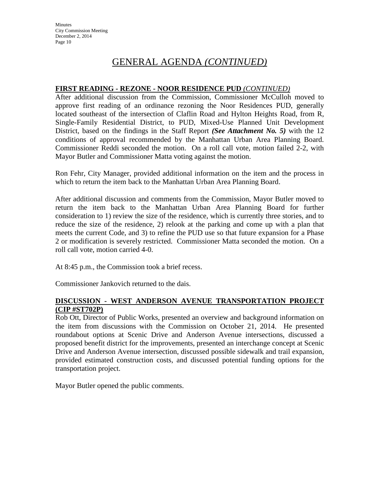## **FIRST READING - REZONE - NOOR RESIDENCE PUD** *(CONTINUED)*

After additional discussion from the Commission, Commissioner McCulloh moved to approve first reading of an ordinance rezoning the Noor Residences PUD, generally located southeast of the intersection of Claflin Road and Hylton Heights Road, from R, Single-Family Residential District, to PUD, Mixed-Use Planned Unit Development District, based on the findings in the Staff Report *(See Attachment No. 5)* with the 12 conditions of approval recommended by the Manhattan Urban Area Planning Board. Commissioner Reddi seconded the motion. On a roll call vote, motion failed 2-2, with Mayor Butler and Commissioner Matta voting against the motion.

Ron Fehr, City Manager, provided additional information on the item and the process in which to return the item back to the Manhattan Urban Area Planning Board.

After additional discussion and comments from the Commission, Mayor Butler moved to return the item back to the Manhattan Urban Area Planning Board for further consideration to 1) review the size of the residence, which is currently three stories, and to reduce the size of the residence, 2) relook at the parking and come up with a plan that meets the current Code, and 3) to refine the PUD use so that future expansion for a Phase 2 or modification is severely restricted. Commissioner Matta seconded the motion. On a roll call vote, motion carried 4-0.

At 8:45 p.m., the Commission took a brief recess.

Commissioner Jankovich returned to the dais.

## **DISCUSSION - WEST ANDERSON AVENUE TRANSPORTATION PROJECT (CIP #ST702P)**

Rob Ott, Director of Public Works, presented an overview and background information on the item from discussions with the Commission on October 21, 2014. He presented roundabout options at Scenic Drive and Anderson Avenue intersections, discussed a proposed benefit district for the improvements, presented an interchange concept at Scenic Drive and Anderson Avenue intersection, discussed possible sidewalk and trail expansion, provided estimated construction costs, and discussed potential funding options for the transportation project.

Mayor Butler opened the public comments.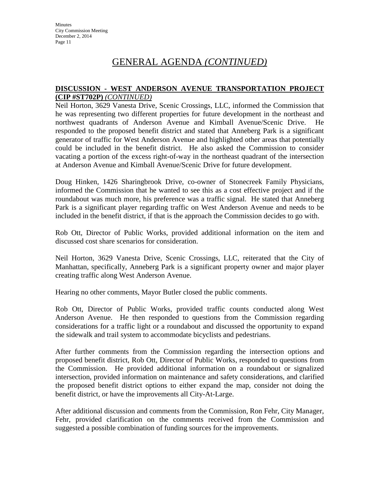### **DISCUSSION - WEST ANDERSON AVENUE TRANSPORTATION PROJECT (CIP #ST702P)** *(CONTINUED)*

Neil Horton, 3629 Vanesta Drive, Scenic Crossings, LLC, informed the Commission that he was representing two different properties for future development in the northeast and northwest quadrants of Anderson Avenue and Kimball Avenue/Scenic Drive. He responded to the proposed benefit district and stated that Anneberg Park is a significant generator of traffic for West Anderson Avenue and highlighted other areas that potentially could be included in the benefit district. He also asked the Commission to consider vacating a portion of the excess right-of-way in the northeast quadrant of the intersection at Anderson Avenue and Kimball Avenue/Scenic Drive for future development.

Doug Hinken, 1426 Sharingbrook Drive, co-owner of Stonecreek Family Physicians, informed the Commission that he wanted to see this as a cost effective project and if the roundabout was much more, his preference was a traffic signal. He stated that Anneberg Park is a significant player regarding traffic on West Anderson Avenue and needs to be included in the benefit district, if that is the approach the Commission decides to go with.

Rob Ott, Director of Public Works, provided additional information on the item and discussed cost share scenarios for consideration.

Neil Horton, 3629 Vanesta Drive, Scenic Crossings, LLC, reiterated that the City of Manhattan, specifically, Anneberg Park is a significant property owner and major player creating traffic along West Anderson Avenue.

Hearing no other comments, Mayor Butler closed the public comments.

Rob Ott, Director of Public Works, provided traffic counts conducted along West Anderson Avenue. He then responded to questions from the Commission regarding considerations for a traffic light or a roundabout and discussed the opportunity to expand the sidewalk and trail system to accommodate bicyclists and pedestrians.

After further comments from the Commission regarding the intersection options and proposed benefit district, Rob Ott, Director of Public Works, responded to questions from the Commission. He provided additional information on a roundabout or signalized intersection, provided information on maintenance and safety considerations, and clarified the proposed benefit district options to either expand the map, consider not doing the benefit district, or have the improvements all City-At-Large.

After additional discussion and comments from the Commission, Ron Fehr, City Manager, Fehr, provided clarification on the comments received from the Commission and suggested a possible combination of funding sources for the improvements.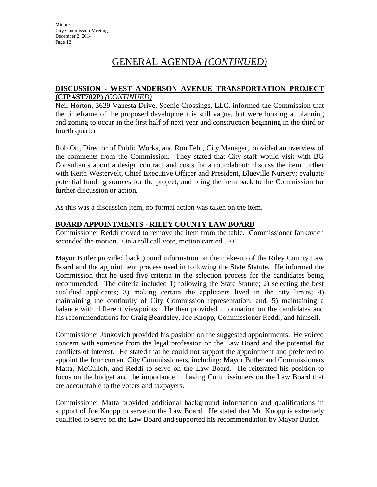### **DISCUSSION - WEST ANDERSON AVENUE TRANSPORTATION PROJECT (CIP #ST702P)** *(CONTINUED)*

Neil Horton, 3629 Vanesta Drive, Scenic Crossings, LLC, informed the Commission that the timeframe of the proposed development is still vague, but were looking at planning and zoning to occur in the first half of next year and construction beginning in the third or fourth quarter.

Rob Ott, Director of Public Works, and Ron Fehr, City Manager, provided an overview of the comments from the Commission. They stated that City staff would visit with BG Consultants about a design contract and costs for a roundabout; discuss the item further with Keith Westervelt, Chief Executive Officer and President, Blueville Nursery; evaluate potential funding sources for the project; and bring the item back to the Commission for further discussion or action.

As this was a discussion item, no formal action was taken on the item.

## **BOARD APPOINTMENTS - RILEY COUNTY LAW BOARD**

Commissioner Reddi moved to remove the item from the table. Commissioner Jankovich seconded the motion. On a roll call vote, motion carried 5-0.

Mayor Butler provided background information on the make-up of the Riley County Law Board and the appointment process used in following the State Statute. He informed the Commission that he used five criteria in the selection process for the candidates being recommended. The criteria included 1) following the State Statute; 2) selecting the best qualified applicants; 3) making certain the applicants lived in the city limits; 4) maintaining the continuity of City Commission representation; and, 5) maintaining a balance with different viewpoints. He then provided information on the candidates and his recommendations for Craig Beardsley, Joe Knopp, Commissioner Reddi, and himself.

Commissioner Jankovich provided his position on the suggested appointments. He voiced concern with someone from the legal profession on the Law Board and the potential for conflicts of interest. He stated that he could not support the appointment and preferred to appoint the four current City Commissioners, including: Mayor Butler and Commissioners Matta, McCulloh, and Reddi to serve on the Law Board. He reiterated his position to focus on the budget and the importance in having Commissioners on the Law Board that are accountable to the voters and taxpayers.

Commissioner Matta provided additional background information and qualifications in support of Joe Knopp to serve on the Law Board. He stated that Mr. Knopp is extremely qualified to serve on the Law Board and supported his recommendation by Mayor Butler.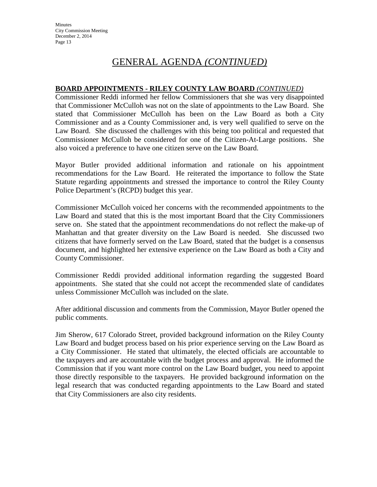## **BOARD APPOINTMENTS - RILEY COUNTY LAW BOARD** *(CONTINUED)*

Commissioner Reddi informed her fellow Commissioners that she was very disappointed that Commissioner McCulloh was not on the slate of appointments to the Law Board. She stated that Commissioner McCulloh has been on the Law Board as both a City Commissioner and as a County Commissioner and, is very well qualified to serve on the Law Board. She discussed the challenges with this being too political and requested that Commissioner McCulloh be considered for one of the Citizen-At-Large positions. She also voiced a preference to have one citizen serve on the Law Board.

Mayor Butler provided additional information and rationale on his appointment recommendations for the Law Board. He reiterated the importance to follow the State Statute regarding appointments and stressed the importance to control the Riley County Police Department's (RCPD) budget this year.

Commissioner McCulloh voiced her concerns with the recommended appointments to the Law Board and stated that this is the most important Board that the City Commissioners serve on. She stated that the appointment recommendations do not reflect the make-up of Manhattan and that greater diversity on the Law Board is needed. She discussed two citizens that have formerly served on the Law Board, stated that the budget is a consensus document, and highlighted her extensive experience on the Law Board as both a City and County Commissioner.

Commissioner Reddi provided additional information regarding the suggested Board appointments. She stated that she could not accept the recommended slate of candidates unless Commissioner McCulloh was included on the slate.

After additional discussion and comments from the Commission, Mayor Butler opened the public comments.

Jim Sherow, 617 Colorado Street, provided background information on the Riley County Law Board and budget process based on his prior experience serving on the Law Board as a City Commissioner. He stated that ultimately, the elected officials are accountable to the taxpayers and are accountable with the budget process and approval. He informed the Commission that if you want more control on the Law Board budget, you need to appoint those directly responsible to the taxpayers. He provided background information on the legal research that was conducted regarding appointments to the Law Board and stated that City Commissioners are also city residents.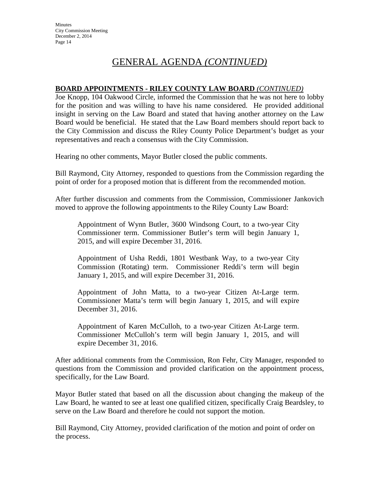## **BOARD APPOINTMENTS - RILEY COUNTY LAW BOARD** *(CONTINUED)*

Joe Knopp, 104 Oakwood Circle, informed the Commission that he was not here to lobby for the position and was willing to have his name considered. He provided additional insight in serving on the Law Board and stated that having another attorney on the Law Board would be beneficial. He stated that the Law Board members should report back to the City Commission and discuss the Riley County Police Department's budget as your representatives and reach a consensus with the City Commission.

Hearing no other comments, Mayor Butler closed the public comments.

Bill Raymond, City Attorney, responded to questions from the Commission regarding the point of order for a proposed motion that is different from the recommended motion.

After further discussion and comments from the Commission, Commissioner Jankovich moved to approve the following appointments to the Riley County Law Board:

Appointment of Wynn Butler, 3600 Windsong Court, to a two-year City Commissioner term. Commissioner Butler's term will begin January 1, 2015, and will expire December 31, 2016.

Appointment of Usha Reddi, 1801 Westbank Way, to a two-year City Commission (Rotating) term. Commissioner Reddi's term will begin January 1, 2015, and will expire December 31, 2016.

Appointment of John Matta, to a two-year Citizen At-Large term. Commissioner Matta's term will begin January 1, 2015, and will expire December 31, 2016.

Appointment of Karen McCulloh, to a two-year Citizen At-Large term. Commissioner McCulloh's term will begin January 1, 2015, and will expire December 31, 2016.

After additional comments from the Commission, Ron Fehr, City Manager, responded to questions from the Commission and provided clarification on the appointment process, specifically, for the Law Board.

Mayor Butler stated that based on all the discussion about changing the makeup of the Law Board, he wanted to see at least one qualified citizen, specifically Craig Beardsley, to serve on the Law Board and therefore he could not support the motion.

Bill Raymond, City Attorney, provided clarification of the motion and point of order on the process.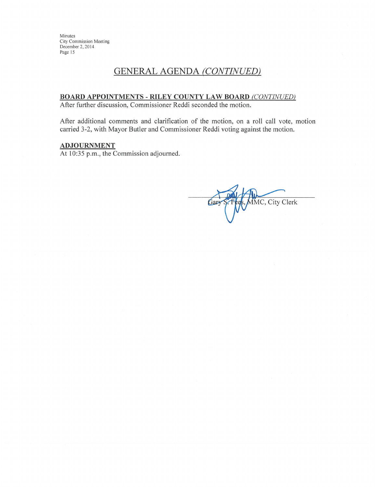## **GENERAL AGENDA (CONTINUED)**

#### **BOARD APPOINTMENTS - RILEY COUNTY LAW BOARD (CONTINUED)**

After further discussion, Commissioner Reddi seconded the motion.

After additional comments and clarification of the motion, on a roll call vote, motion carried 3-2, with Mayor Butler and Commissioner Reddi voting against the motion.

#### **ADJOURNMENT**

At 10:35 p.m., the Commission adjourned.

MMC, City Clerk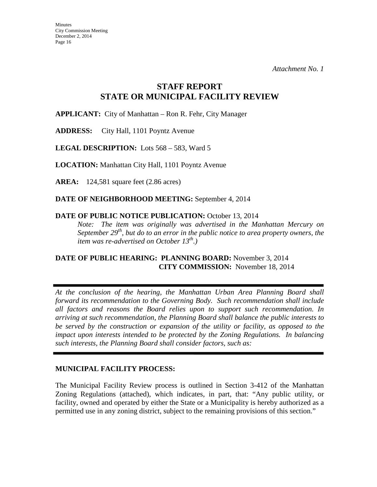## **STAFF REPORT STATE OR MUNICIPAL FACILITY REVIEW**

**APPLICANT:** City of Manhattan – Ron R. Fehr, City Manager

**ADDRESS:** City Hall, 1101 Poyntz Avenue

**LEGAL DESCRIPTION:** Lots 568 – 583, Ward 5

**LOCATION:** Manhattan City Hall, 1101 Poyntz Avenue

**AREA:** 124,581 square feet (2.86 acres)

**DATE OF NEIGHBORHOOD MEETING:** September 4, 2014

## DATE OF PUBLIC NOTICE PUBLICATION: October 13, 2014

*Note: The item was originally was advertised in the Manhattan Mercury on September 29<sup>th</sup>, but do to an error in the public notice to area property owners, the item was re-advertised on October 13th.)* 

## **DATE OF PUBLIC HEARING: PLANNING BOARD:** November 3, 2014 **CITY COMMISSION:** November 18, 2014

*At the conclusion of the hearing, the Manhattan Urban Area Planning Board shall forward its recommendation to the Governing Body. Such recommendation shall include all factors and reasons the Board relies upon to support such recommendation. In arriving at such recommendation, the Planning Board shall balance the public interests to be served by the construction or expansion of the utility or facility, as opposed to the impact upon interests intended to be protected by the Zoning Regulations. In balancing such interests, the Planning Board shall consider factors, such as:* 

## **MUNICIPAL FACILITY PROCESS:**

The Municipal Facility Review process is outlined in Section 3-412 of the Manhattan Zoning Regulations (attached), which indicates, in part, that: "Any public utility, or facility, owned and operated by either the State or a Municipality is hereby authorized as a permitted use in any zoning district, subject to the remaining provisions of this section."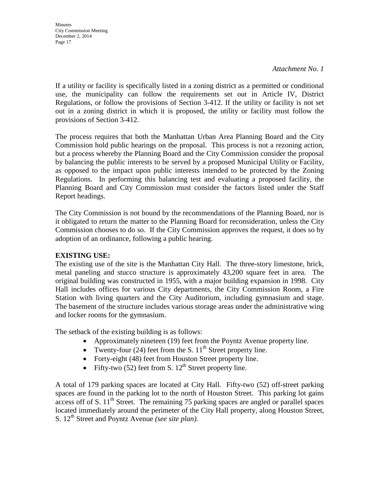*Attachment No. 1*

If a utility or facility is specifically listed in a zoning district as a permitted or conditional use, the municipality can follow the requirements set out in Article IV, District Regulations, or follow the provisions of Section 3-412. If the utility or facility is not set out in a zoning district in which it is proposed, the utility or facility must follow the provisions of Section 3-412.

The process requires that both the Manhattan Urban Area Planning Board and the City Commission hold public hearings on the proposal. This process is not a rezoning action, but a process whereby the Planning Board and the City Commission consider the proposal by balancing the public interests to be served by a proposed Municipal Utility or Facility, as opposed to the impact upon public interests intended to be protected by the Zoning Regulations. In performing this balancing test and evaluating a proposed facility, the Planning Board and City Commission must consider the factors listed under the Staff Report headings.

The City Commission is not bound by the recommendations of the Planning Board, nor is it obligated to return the matter to the Planning Board for reconsideration, unless the City Commission chooses to do so. If the City Commission approves the request, it does so by adoption of an ordinance, following a public hearing.

## **EXISTING USE:**

The existing use of the site is the Manhattan City Hall. The three-story limestone, brick, metal paneling and stucco structure is approximately 43,200 square feet in area. The original building was constructed in 1955, with a major building expansion in 1998. City Hall includes offices for various City departments, the City Commission Room, a Fire Station with living quarters and the City Auditorium, including gymnasium and stage. The basement of the structure includes various storage areas under the administrative wing and locker rooms for the gymnasium.

The setback of the existing building is as follows:

- Approximately nineteen (19) feet from the Poyntz Avenue property line.
- Twenty-four (24) feet from the S.  $11<sup>th</sup>$  Street property line.
- Forty-eight (48) feet from Houston Street property line.
- Fifty-two  $(52)$  feet from S.  $12<sup>th</sup>$  Street property line.

A total of 179 parking spaces are located at City Hall. Fifty-two (52) off-street parking spaces are found in the parking lot to the north of Houston Street. This parking lot gains access off of S.  $11<sup>th</sup>$  Street. The remaining 75 parking spaces are angled or parallel spaces located immediately around the perimeter of the City Hall property, along Houston Street, S. 12th Street and Poyntz Avenue *(see site plan).*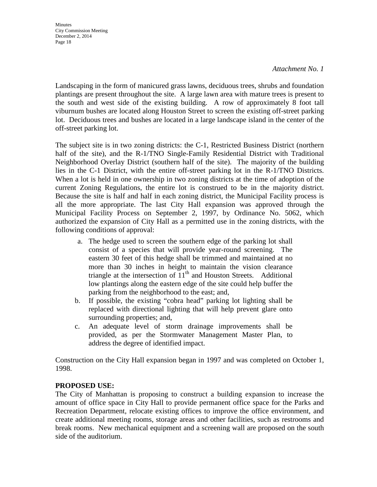#### *Attachment No. 1*

Landscaping in the form of manicured grass lawns, deciduous trees, shrubs and foundation plantings are present throughout the site. A large lawn area with mature trees is present to the south and west side of the existing building. A row of approximately 8 foot tall viburnum bushes are located along Houston Street to screen the existing off-street parking lot. Deciduous trees and bushes are located in a large landscape island in the center of the off-street parking lot.

The subject site is in two zoning districts: the C-1, Restricted Business District (northern half of the site), and the R-1/TNO Single-Family Residential District with Traditional Neighborhood Overlay District (southern half of the site). The majority of the building lies in the C-1 District, with the entire off-street parking lot in the R-1/TNO Districts. When a lot is held in one ownership in two zoning districts at the time of adoption of the current Zoning Regulations, the entire lot is construed to be in the majority district. Because the site is half and half in each zoning district, the Municipal Facility process is all the more appropriate. The last City Hall expansion was approved through the Municipal Facility Process on September 2, 1997, by Ordinance No. 5062, which authorized the expansion of City Hall as a permitted use in the zoning districts, with the following conditions of approval:

- a. The hedge used to screen the southern edge of the parking lot shall consist of a species that will provide year-round screening. The eastern 30 feet of this hedge shall be trimmed and maintained at no more than 30 inches in height to maintain the vision clearance triangle at the intersection of  $11<sup>th</sup>$  and Houston Streets. Additional low plantings along the eastern edge of the site could help buffer the parking from the neighborhood to the east; and,
- b. If possible, the existing "cobra head" parking lot lighting shall be replaced with directional lighting that will help prevent glare onto surrounding properties; and,
- c. An adequate level of storm drainage improvements shall be provided, as per the Stormwater Management Master Plan, to address the degree of identified impact.

Construction on the City Hall expansion began in 1997 and was completed on October 1, 1998.

## **PROPOSED USE:**

The City of Manhattan is proposing to construct a building expansion to increase the amount of office space in City Hall to provide permanent office space for the Parks and Recreation Department, relocate existing offices to improve the office environment, and create additional meeting rooms, storage areas and other facilities, such as restrooms and break rooms. New mechanical equipment and a screening wall are proposed on the south side of the auditorium.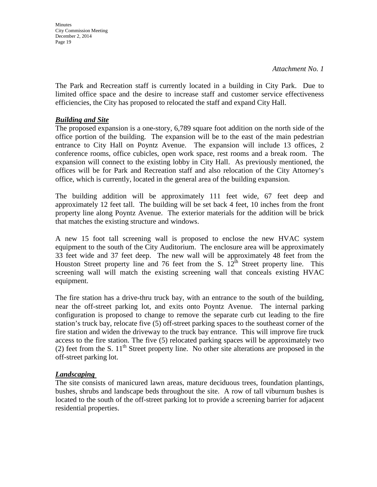**Minutes** City Commission Meeting December 2, 2014 Page 19

The Park and Recreation staff is currently located in a building in City Park. Due to limited office space and the desire to increase staff and customer service effectiveness efficiencies, the City has proposed to relocated the staff and expand City Hall.

#### *Building and Site*

The proposed expansion is a one-story, 6,789 square foot addition on the north side of the office portion of the building. The expansion will be to the east of the main pedestrian entrance to City Hall on Poyntz Avenue. The expansion will include 13 offices, 2 conference rooms, office cubicles, open work space, rest rooms and a break room. The expansion will connect to the existing lobby in City Hall. As previously mentioned, the offices will be for Park and Recreation staff and also relocation of the City Attorney's office, which is currently, located in the general area of the building expansion.

The building addition will be approximately 111 feet wide, 67 feet deep and approximately 12 feet tall. The building will be set back 4 feet, 10 inches from the front property line along Poyntz Avenue. The exterior materials for the addition will be brick that matches the existing structure and windows.

A new 15 foot tall screening wall is proposed to enclose the new HVAC system equipment to the south of the City Auditorium. The enclosure area will be approximately 33 feet wide and 37 feet deep. The new wall will be approximately 48 feet from the Houston Street property line and 76 feet from the S.  $12^{\text{th}}$  Street property line. This screening wall will match the existing screening wall that conceals existing HVAC equipment.

The fire station has a drive-thru truck bay, with an entrance to the south of the building, near the off-street parking lot, and exits onto Poyntz Avenue. The internal parking configuration is proposed to change to remove the separate curb cut leading to the fire station's truck bay, relocate five (5) off-street parking spaces to the southeast corner of the fire station and widen the driveway to the truck bay entrance. This will improve fire truck access to the fire station. The five (5) relocated parking spaces will be approximately two (2) feet from the S.  $11<sup>th</sup>$  Street property line. No other site alterations are proposed in the off-street parking lot.

#### *Landscaping*

The site consists of manicured lawn areas, mature deciduous trees, foundation plantings, bushes, shrubs and landscape beds throughout the site. A row of tall viburnum bushes is located to the south of the off-street parking lot to provide a screening barrier for adjacent residential properties.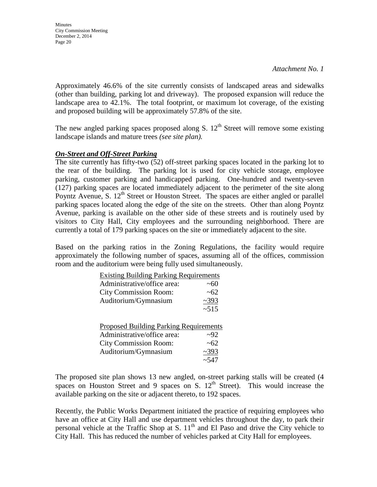**Minutes** City Commission Meeting December 2, 2014 Page 20

Approximately 46.6% of the site currently consists of landscaped areas and sidewalks (other than building, parking lot and driveway). The proposed expansion will reduce the landscape area to 42.1%. The total footprint, or maximum lot coverage, of the existing and proposed building will be approximately 57.8% of the site.

The new angled parking spaces proposed along S.  $12<sup>th</sup>$  Street will remove some existing landscape islands and mature trees *(see site plan).*

### *On-Street and Off-Street Parking*

The site currently has fifty-two (52) off-street parking spaces located in the parking lot to the rear of the building. The parking lot is used for city vehicle storage, employee parking, customer parking and handicapped parking. One-hundred and twenty-seven (127) parking spaces are located immediately adjacent to the perimeter of the site along Poyntz Avenue, S.  $12<sup>th</sup>$  Street or Houston Street. The spaces are either angled or parallel parking spaces located along the edge of the site on the streets. Other than along Poyntz Avenue, parking is available on the other side of these streets and is routinely used by visitors to City Hall, City employees and the surrounding neighborhood. There are currently a total of 179 parking spaces on the site or immediately adjacent to the site.

Based on the parking ratios in the Zoning Regulations, the facility would require approximately the following number of spaces, assuming all of the offices, commission room and the auditorium were being fully used simultaneously.

| <b>Existing Building Parking Requirements</b> |            |
|-----------------------------------------------|------------|
| Administrative/office area:                   | ~100       |
| <b>City Commission Room:</b>                  | ~62        |
| Auditorium/Gymnasium                          | ~2393      |
|                                               | ~15        |
|                                               |            |
| <b>Proposed Building Parking Requirements</b> |            |
| Administrative/office area:                   | 292        |
| <b>City Commission Room:</b>                  | ~62        |
| Auditorium/Gymnasium                          | ~2393      |
|                                               | $~1 - 547$ |

The proposed site plan shows 13 new angled, on-street parking stalls will be created (4 spaces on Houston Street and 9 spaces on S.  $12<sup>th</sup>$  Street). This would increase the available parking on the site or adjacent thereto, to 192 spaces.

Recently, the Public Works Department initiated the practice of requiring employees who have an office at City Hall and use department vehicles throughout the day, to park their personal vehicle at the Traffic Shop at S.  $11<sup>th</sup>$  and El Paso and drive the City vehicle to City Hall. This has reduced the number of vehicles parked at City Hall for employees.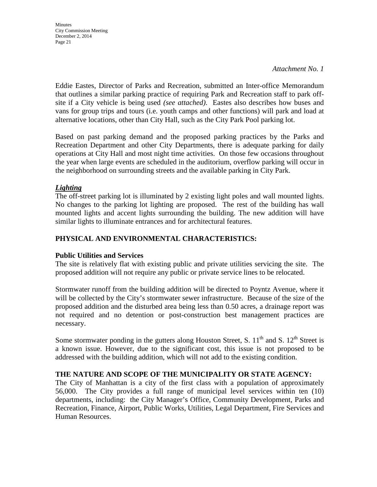*Attachment No. 1*

Eddie Eastes, Director of Parks and Recreation, submitted an Inter-office Memorandum that outlines a similar parking practice of requiring Park and Recreation staff to park offsite if a City vehicle is being used *(see attached)*. Eastes also describes how buses and vans for group trips and tours (i.e. youth camps and other functions) will park and load at alternative locations, other than City Hall, such as the City Park Pool parking lot.

Based on past parking demand and the proposed parking practices by the Parks and Recreation Department and other City Departments, there is adequate parking for daily operations at City Hall and most night time activities. On those few occasions throughout the year when large events are scheduled in the auditorium, overflow parking will occur in the neighborhood on surrounding streets and the available parking in City Park.

## *Lighting*

The off-street parking lot is illuminated by 2 existing light poles and wall mounted lights. No changes to the parking lot lighting are proposed. The rest of the building has wall mounted lights and accent lights surrounding the building. The new addition will have similar lights to illuminate entrances and for architectural features.

## **PHYSICAL AND ENVIRONMENTAL CHARACTERISTICS:**

## **Public Utilities and Services**

The site is relatively flat with existing public and private utilities servicing the site. The proposed addition will not require any public or private service lines to be relocated.

Stormwater runoff from the building addition will be directed to Poyntz Avenue, where it will be collected by the City's stormwater sewer infrastructure. Because of the size of the proposed addition and the disturbed area being less than 0.50 acres, a drainage report was not required and no detention or post-construction best management practices are necessary.

Some stormwater ponding in the gutters along Houston Street, S.  $11<sup>th</sup>$  and S.  $12<sup>th</sup>$  Street is a known issue. However, due to the significant cost, this issue is not proposed to be addressed with the building addition, which will not add to the existing condition.

## **THE NATURE AND SCOPE OF THE MUNICIPALITY OR STATE AGENCY:**

The City of Manhattan is a city of the first class with a population of approximately 56,000. The City provides a full range of municipal level services within ten (10) departments, including: the City Manager's Office, Community Development, Parks and Recreation, Finance, Airport, Public Works, Utilities, Legal Department, Fire Services and Human Resources.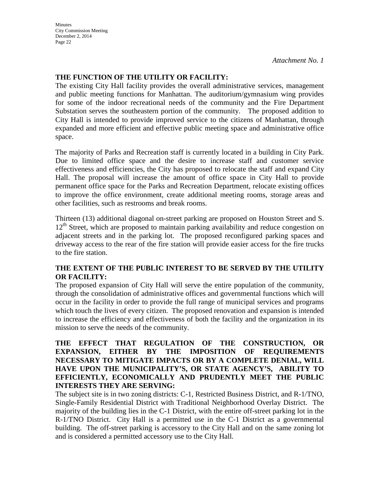*Attachment No. 1*

## **THE FUNCTION OF THE UTILITY OR FACILITY:**

The existing City Hall facility provides the overall administrative services, management and public meeting functions for Manhattan. The auditorium/gymnasium wing provides for some of the indoor recreational needs of the community and the Fire Department Substation serves the southeastern portion of the community. The proposed addition to City Hall is intended to provide improved service to the citizens of Manhattan, through expanded and more efficient and effective public meeting space and administrative office space.

The majority of Parks and Recreation staff is currently located in a building in City Park. Due to limited office space and the desire to increase staff and customer service effectiveness and efficiencies, the City has proposed to relocate the staff and expand City Hall. The proposal will increase the amount of office space in City Hall to provide permanent office space for the Parks and Recreation Department, relocate existing offices to improve the office environment, create additional meeting rooms, storage areas and other facilities, such as restrooms and break rooms.

Thirteen (13) additional diagonal on-street parking are proposed on Houston Street and S. 12<sup>th</sup> Street, which are proposed to maintain parking availability and reduce congestion on adjacent streets and in the parking lot. The proposed reconfigured parking spaces and driveway access to the rear of the fire station will provide easier access for the fire trucks to the fire station.

### **THE EXTENT OF THE PUBLIC INTEREST TO BE SERVED BY THE UTILITY OR FACILITY:**

The proposed expansion of City Hall will serve the entire population of the community, through the consolidation of administrative offices and governmental functions which will occur in the facility in order to provide the full range of municipal services and programs which touch the lives of every citizen. The proposed renovation and expansion is intended to increase the efficiency and effectiveness of both the facility and the organization in its mission to serve the needs of the community.

### **THE EFFECT THAT REGULATION OF THE CONSTRUCTION, OR EXPANSION, EITHER BY THE IMPOSITION OF REQUIREMENTS NECESSARY TO MITIGATE IMPACTS OR BY A COMPLETE DENIAL, WILL HAVE UPON THE MUNICIPALITY'S, OR STATE AGENCY'S, ABILITY TO EFFICIENTLY, ECONOMICALLY AND PRUDENTLY MEET THE PUBLIC INTERESTS THEY ARE SERVING:**

The subject site is in two zoning districts: C-1, Restricted Business District, and R-1/TNO, Single-Family Residential District with Traditional Neighborhood Overlay District. The majority of the building lies in the C-1 District, with the entire off-street parking lot in the R-1/TNO District. City Hall is a permitted use in the C-1 District as a governmental building. The off-street parking is accessory to the City Hall and on the same zoning lot and is considered a permitted accessory use to the City Hall.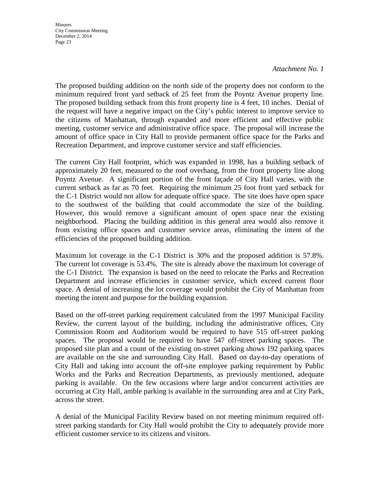#### *Attachment No. 1*

The proposed building addition on the north side of the property does not conform to the minimum required front yard setback of 25 feet from the Poyntz Avenue property line. The proposed building setback from this front property line is 4 feet, 10 inches. Denial of the request will have a negative impact on the City's public interest to improve service to the citizens of Manhattan, through expanded and more efficient and effective public meeting, customer service and administrative office space. The proposal will increase the amount of office space in City Hall to provide permanent office space for the Parks and Recreation Department, and improve customer service and staff efficiencies.

The current City Hall footprint, which was expanded in 1998, has a building setback of approximately 20 feet, measured to the roof overhang, from the front property line along Poyntz Avenue. A significant portion of the front façade of City Hall varies, with the current setback as far as 70 feet. Requiring the minimum 25 foot front yard setback for the C-1 District would not allow for adequate office space. The site does have open space to the southwest of the building that could accommodate the size of the building. However, this would remove a significant amount of open space near the existing neighborhood. Placing the building addition in this general area would also remove it from existing office spaces and customer service areas, eliminating the intent of the efficiencies of the proposed building addition.

Maximum lot coverage in the C-1 District is 30% and the proposed addition is 57.8%. The current lot coverage is 53.4%. The site is already above the maximum lot coverage of the C-1 District. The expansion is based on the need to relocate the Parks and Recreation Department and increase efficiencies in customer service, which exceed current floor space. A denial of increasing the lot coverage would prohibit the City of Manhattan from meeting the intent and purpose for the building expansion.

Based on the off-street parking requirement calculated from the 1997 Municipal Facility Review, the current layout of the building, including the administrative offices, City Commission Room and Auditorium would be required to have 515 off-street parking spaces. The proposal would be required to have 547 off-street parking spaces. The proposed site plan and a count of the existing on-street parking shows 192 parking spaces are available on the site and surrounding City Hall. Based on day-to-day operations of City Hall and taking into account the off-site employee parking requirement by Public Works and the Parks and Recreation Departments, as previously mentioned, adequate parking is available. On the few occasions where large and/or concurrent activities are occurring at City Hall, amble parking is available in the surrounding area and at City Park, across the street.

A denial of the Municipal Facility Review based on not meeting minimum required offstreet parking standards for City Hall would prohibit the City to adequately provide more efficient customer service to its citizens and visitors.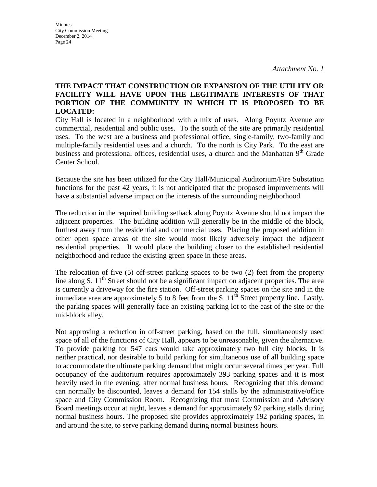## **THE IMPACT THAT CONSTRUCTION OR EXPANSION OF THE UTILITY OR FACILITY WILL HAVE UPON THE LEGITIMATE INTERESTS OF THAT PORTION OF THE COMMUNITY IN WHICH IT IS PROPOSED TO BE LOCATED:**

City Hall is located in a neighborhood with a mix of uses. Along Poyntz Avenue are commercial, residential and public uses. To the south of the site are primarily residential uses. To the west are a business and professional office, single-family, two-family and multiple-family residential uses and a church. To the north is City Park. To the east are business and professional offices, residential uses, a church and the Manhattan 9<sup>th</sup> Grade Center School.

Because the site has been utilized for the City Hall/Municipal Auditorium/Fire Substation functions for the past 42 years, it is not anticipated that the proposed improvements will have a substantial adverse impact on the interests of the surrounding neighborhood.

The reduction in the required building setback along Poyntz Avenue should not impact the adjacent properties. The building addition will generally be in the middle of the block, furthest away from the residential and commercial uses. Placing the proposed addition in other open space areas of the site would most likely adversely impact the adjacent residential properties. It would place the building closer to the established residential neighborhood and reduce the existing green space in these areas.

The relocation of five (5) off-street parking spaces to be two (2) feet from the property line along S.  $11<sup>th</sup>$  Street should not be a significant impact on adjacent properties. The area is currently a driveway for the fire station. Off-street parking spaces on the site and in the immediate area are approximately 5 to 8 feet from the S.  $11<sup>th</sup>$  Street property line. Lastly, the parking spaces will generally face an existing parking lot to the east of the site or the mid-block alley.

Not approving a reduction in off-street parking, based on the full, simultaneously used space of all of the functions of City Hall, appears to be unreasonable, given the alternative. To provide parking for 547 cars would take approximately two full city blocks. It is neither practical, nor desirable to build parking for simultaneous use of all building space to accommodate the ultimate parking demand that might occur several times per year. Full occupancy of the auditorium requires approximately 393 parking spaces and it is most heavily used in the evening, after normal business hours. Recognizing that this demand can normally be discounted, leaves a demand for 154 stalls by the administrative/office space and City Commission Room. Recognizing that most Commission and Advisory Board meetings occur at night, leaves a demand for approximately 92 parking stalls during normal business hours. The proposed site provides approximately 192 parking spaces, in and around the site, to serve parking demand during normal business hours.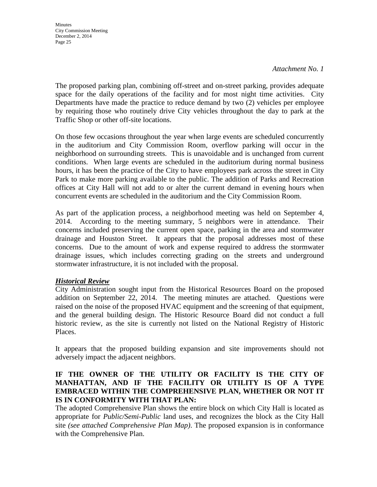*Attachment No. 1*

The proposed parking plan, combining off-street and on-street parking, provides adequate space for the daily operations of the facility and for most night time activities. City Departments have made the practice to reduce demand by two (2) vehicles per employee by requiring those who routinely drive City vehicles throughout the day to park at the Traffic Shop or other off-site locations.

On those few occasions throughout the year when large events are scheduled concurrently in the auditorium and City Commission Room, overflow parking will occur in the neighborhood on surrounding streets. This is unavoidable and is unchanged from current conditions. When large events are scheduled in the auditorium during normal business hours, it has been the practice of the City to have employees park across the street in City Park to make more parking available to the public. The addition of Parks and Recreation offices at City Hall will not add to or alter the current demand in evening hours when concurrent events are scheduled in the auditorium and the City Commission Room.

As part of the application process, a neighborhood meeting was held on September 4, 2014. According to the meeting summary, 5 neighbors were in attendance. Their concerns included preserving the current open space, parking in the area and stormwater drainage and Houston Street. It appears that the proposal addresses most of these concerns. Due to the amount of work and expense required to address the stormwater drainage issues, which includes correcting grading on the streets and underground stormwater infrastructure, it is not included with the proposal.

## *Historical Review*

City Administration sought input from the Historical Resources Board on the proposed addition on September 22, 2014. The meeting minutes are attached. Questions were raised on the noise of the proposed HVAC equipment and the screening of that equipment, and the general building design. The Historic Resource Board did not conduct a full historic review, as the site is currently not listed on the National Registry of Historic Places.

It appears that the proposed building expansion and site improvements should not adversely impact the adjacent neighbors.

## **IF THE OWNER OF THE UTILITY OR FACILITY IS THE CITY OF MANHATTAN, AND IF THE FACILITY OR UTILITY IS OF A TYPE EMBRACED WITHIN THE COMPREHENSIVE PLAN, WHETHER OR NOT IT IS IN CONFORMITY WITH THAT PLAN:**

The adopted Comprehensive Plan shows the entire block on which City Hall is located as appropriate for *Public/Semi-Public* land uses, and recognizes the block as the City Hall site *(see attached Comprehensive Plan Map)*. The proposed expansion is in conformance with the Comprehensive Plan.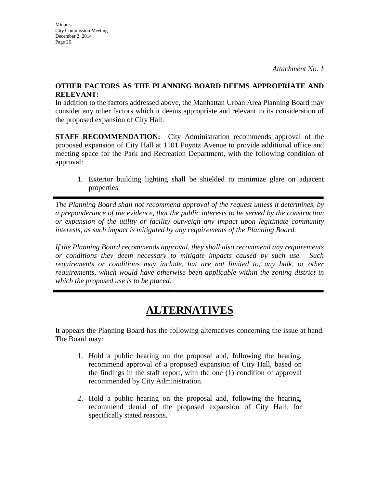## **OTHER FACTORS AS THE PLANNING BOARD DEEMS APPROPRIATE AND RELEVANT:**

In addition to the factors addressed above, the Manhattan Urban Area Planning Board may consider any other factors which it deems appropriate and relevant to its consideration of the proposed expansion of City Hall.

**STAFF RECOMMENDATION:** City Administration recommends approval of the proposed expansion of City Hall at 1101 Poyntz Avenue to provide additional office and meeting space for the Park and Recreation Department, with the following condition of approval:

1. Exterior building lighting shall be shielded to minimize glare on adjacent properties.

*The Planning Board shall not recommend approval of the request unless it determines, by a preponderance of the evidence, that the public interests to be served by the construction or expansion of the utility or facility outweigh any impact upon legitimate community interests, as such impact is mitigated by any requirements of the Planning Board.* 

*If the Planning Board recommends approval, they shall also recommend any requirements or conditions they deem necessary to mitigate impacts caused by such use. Such requirements or conditions may include, but are not limited to, any bulk, or other requirements, which would have otherwise been applicable within the zoning district in which the proposed use is to be placed.* 

# **ALTERNATIVES**

It appears the Planning Board has the following alternatives concerning the issue at hand. The Board may:

- 1. Hold a public hearing on the proposal and, following the hearing, recommend approval of a proposed expansion of City Hall, based on the findings in the staff report, with the one (1) condition of approval recommended by City Administration.
- 2. Hold a public hearing on the proposal and, following the hearing, recommend denial of the proposed expansion of City Hall, for specifically stated reasons.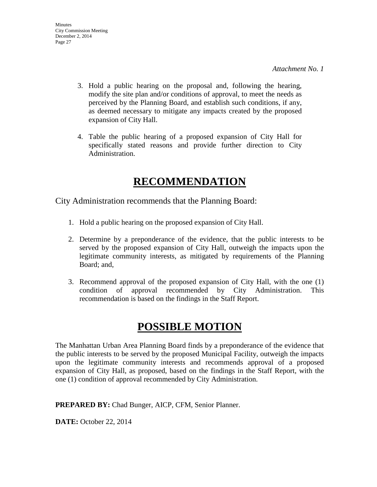- 3. Hold a public hearing on the proposal and, following the hearing, modify the site plan and/or conditions of approval, to meet the needs as perceived by the Planning Board, and establish such conditions, if any, as deemed necessary to mitigate any impacts created by the proposed expansion of City Hall.
- 4. Table the public hearing of a proposed expansion of City Hall for specifically stated reasons and provide further direction to City Administration.

# **RECOMMENDATION**

City Administration recommends that the Planning Board:

- 1. Hold a public hearing on the proposed expansion of City Hall.
- 2. Determine by a preponderance of the evidence, that the public interests to be served by the proposed expansion of City Hall, outweigh the impacts upon the legitimate community interests, as mitigated by requirements of the Planning Board; and,
- 3. Recommend approval of the proposed expansion of City Hall, with the one (1) condition of approval recommended by City Administration. This recommendation is based on the findings in the Staff Report.

# **POSSIBLE MOTION**

The Manhattan Urban Area Planning Board finds by a preponderance of the evidence that the public interests to be served by the proposed Municipal Facility, outweigh the impacts upon the legitimate community interests and recommends approval of a proposed expansion of City Hall, as proposed, based on the findings in the Staff Report, with the one (1) condition of approval recommended by City Administration.

**PREPARED BY:** Chad Bunger, AICP, CFM, Senior Planner.

**DATE:** October 22, 2014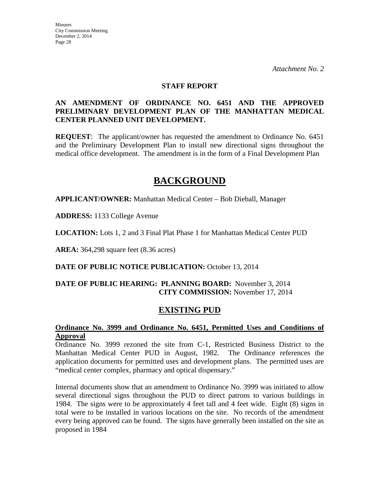#### **STAFF REPORT**

### **AN AMENDMENT OF ORDINANCE NO. 6451 AND THE APPROVED PRELIMINARY DEVELOPMENT PLAN OF THE MANHATTAN MEDICAL CENTER PLANNED UNIT DEVELOPMENT.**

**REQUEST**: The applicant/owner has requested the amendment to Ordinance No. 6451 and the Preliminary Development Plan to install new directional signs throughout the medical office development. The amendment is in the form of a Final Development Plan

## **BACKGROUND**

**APPLICANT/OWNER:** Manhattan Medical Center – Bob Dieball, Manager

**ADDRESS:** 1133 College Avenue

**LOCATION:** Lots 1, 2 and 3 Final Plat Phase 1 for Manhattan Medical Center PUD

**AREA:** 364,298 square feet (8.36 acres)

**DATE OF PUBLIC NOTICE PUBLICATION:** October 13, 2014

## **DATE OF PUBLIC HEARING: PLANNING BOARD:** November 3, 2014 **CITY COMMISSION:** November 17, 2014

## **EXISTING PUD**

### **Ordinance No. 3999 and Ordinance No. 6451, Permitted Uses and Conditions of Approval**

Ordinance No. 3999 rezoned the site from C-1, Restricted Business District to the Manhattan Medical Center PUD in August, 1982. The Ordinance references the application documents for permitted uses and development plans. The permitted uses are "medical center complex, pharmacy and optical dispensary."

Internal documents show that an amendment to Ordinance No. 3999 was initiated to allow several directional signs throughout the PUD to direct patrons to various buildings in 1984. The signs were to be approximately 4 feet tall and 4 feet wide. Eight (8) signs in total were to be installed in various locations on the site. No records of the amendment every being approved can be found. The signs have generally been installed on the site as proposed in 1984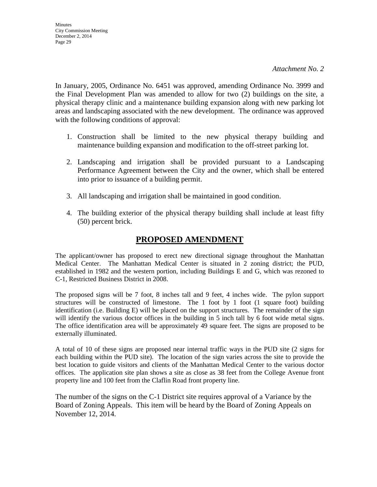In January, 2005, Ordinance No. 6451 was approved, amending Ordinance No. 3999 and the Final Development Plan was amended to allow for two (2) buildings on the site, a physical therapy clinic and a maintenance building expansion along with new parking lot areas and landscaping associated with the new development. The ordinance was approved with the following conditions of approval:

- 1. Construction shall be limited to the new physical therapy building and maintenance building expansion and modification to the off-street parking lot.
- 2. Landscaping and irrigation shall be provided pursuant to a Landscaping Performance Agreement between the City and the owner, which shall be entered into prior to issuance of a building permit.
- 3. All landscaping and irrigation shall be maintained in good condition.
- 4. The building exterior of the physical therapy building shall include at least fifty (50) percent brick.

## **PROPOSED AMENDMENT**

The applicant/owner has proposed to erect new directional signage throughout the Manhattan Medical Center. The Manhattan Medical Center is situated in 2 zoning district; the PUD, established in 1982 and the western portion, including Buildings E and G, which was rezoned to C-1, Restricted Business District in 2008.

The proposed signs will be 7 foot, 8 inches tall and 9 feet, 4 inches wide. The pylon support structures will be constructed of limestone. The 1 foot by 1 foot (1 square foot) building identification (i.e. Building E) will be placed on the support structures. The remainder of the sign will identify the various doctor offices in the building in 5 inch tall by 6 foot wide metal signs. The office identification area will be approximately 49 square feet. The signs are proposed to be externally illuminated.

A total of 10 of these signs are proposed near internal traffic ways in the PUD site (2 signs for each building within the PUD site). The location of the sign varies across the site to provide the best location to guide visitors and clients of the Manhattan Medical Center to the various doctor offices. The application site plan shows a site as close as 38 feet from the College Avenue front property line and 100 feet from the Claflin Road front property line.

The number of the signs on the C-1 District site requires approval of a Variance by the Board of Zoning Appeals. This item will be heard by the Board of Zoning Appeals on November 12, 2014.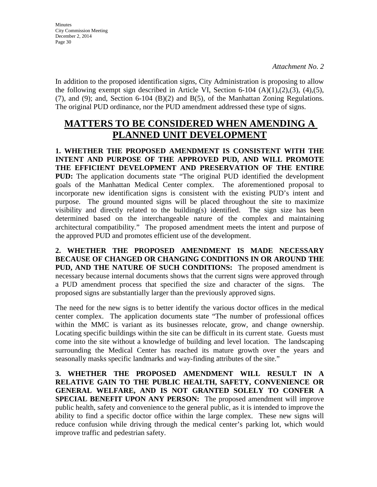In addition to the proposed identification signs, City Administration is proposing to allow the following exempt sign described in Article VI, Section 6-104  $(A)(1),(2),(3),(4),(5)$ , (7), and (9); and, Section 6-104 (B)(2) and B(5), of the Manhattan Zoning Regulations. The original PUD ordinance, nor the PUD amendment addressed these type of signs.

## **MATTERS TO BE CONSIDERED WHEN AMENDING A PLANNED UNIT DEVELOPMENT**

**1. WHETHER THE PROPOSED AMENDMENT IS CONSISTENT WITH THE INTENT AND PURPOSE OF THE APPROVED PUD, AND WILL PROMOTE THE EFFICIENT DEVELOPMENT AND PRESERVATION OF THE ENTIRE PUD:** The application documents state "The original PUD identified the development goals of the Manhattan Medical Center complex. The aforementioned proposal to incorporate new identification signs is consistent with the existing PUD's intent and purpose. The ground mounted signs will be placed throughout the site to maximize visibility and directly related to the building(s) identified. The sign size has been determined based on the interchangeable nature of the complex and maintaining architectural compatibility." The proposed amendment meets the intent and purpose of the approved PUD and promotes efficient use of the development.

**2. WHETHER THE PROPOSED AMENDMENT IS MADE NECESSARY BECAUSE OF CHANGED OR CHANGING CONDITIONS IN OR AROUND THE PUD, AND THE NATURE OF SUCH CONDITIONS:** The proposed amendment is necessary because internal documents shows that the current signs were approved through a PUD amendment process that specified the size and character of the signs. The proposed signs are substantially larger than the previously approved signs.

The need for the new signs is to better identify the various doctor offices in the medical center complex. The application documents state "The number of professional offices within the MMC is variant as its businesses relocate, grow, and change ownership. Locating specific buildings within the site can be difficult in its current state. Guests must come into the site without a knowledge of building and level location. The landscaping surrounding the Medical Center has reached its mature growth over the years and seasonally masks specific landmarks and way-finding attributes of the site."

**3. WHETHER THE PROPOSED AMENDMENT WILL RESULT IN A RELATIVE GAIN TO THE PUBLIC HEALTH, SAFETY, CONVENIENCE OR GENERAL WELFARE, AND IS NOT GRANTED SOLELY TO CONFER A SPECIAL BENEFIT UPON ANY PERSON:** The proposed amendment will improve public health, safety and convenience to the general public, as it is intended to improve the ability to find a specific doctor office within the large complex. These new signs will reduce confusion while driving through the medical center's parking lot, which would improve traffic and pedestrian safety.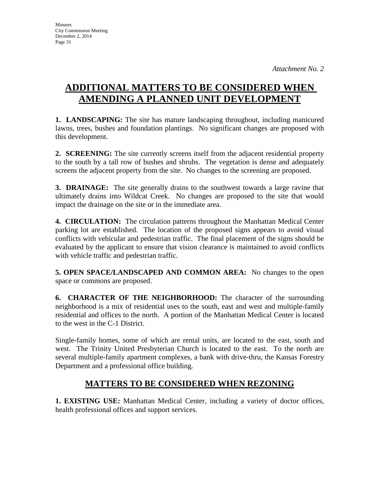# **ADDITIONAL MATTERS TO BE CONSIDERED WHEN AMENDING A PLANNED UNIT DEVELOPMENT**

**1. LANDSCAPING:** The site has mature landscaping throughout, including manicured lawns, trees, bushes and foundation plantings. No significant changes are proposed with this development.

**2. SCREENING:** The site currently screens itself from the adjacent residential property to the south by a tall row of bushes and shrubs. The vegetation is dense and adequately screens the adjacent property from the site. No changes to the screening are proposed.

**3. DRAINAGE:** The site generally drains to the southwest towards a large ravine that ultimately drains into Wildcat Creek. No changes are proposed to the site that would impact the drainage on the site or in the immediate area.

**4. CIRCULATION:** The circulation patterns throughout the Manhattan Medical Center parking lot are established. The location of the proposed signs appears to avoid visual conflicts with vehicular and pedestrian traffic. The final placement of the signs should be evaluated by the applicant to ensure that vision clearance is maintained to avoid conflicts with vehicle traffic and pedestrian traffic.

**5. OPEN SPACE/LANDSCAPED AND COMMON AREA:** No changes to the open space or commons are proposed.

**6. CHARACTER OF THE NEIGHBORHOOD:** The character of the surrounding neighborhood is a mix of residential uses to the south, east and west and multiple-family residential and offices to the north. A portion of the Manhattan Medical Center is located to the west in the C-1 District.

Single-family homes, some of which are rental units, are located to the east, south and west. The Trinity United Presbyterian Church is located to the east. To the north are several multiple-family apartment complexes, a bank with drive-thru, the Kansas Forestry Department and a professional office building.

## **MATTERS TO BE CONSIDERED WHEN REZONING**

**1. EXISTING USE:** Manhattan Medical Center, including a variety of doctor offices, health professional offices and support services.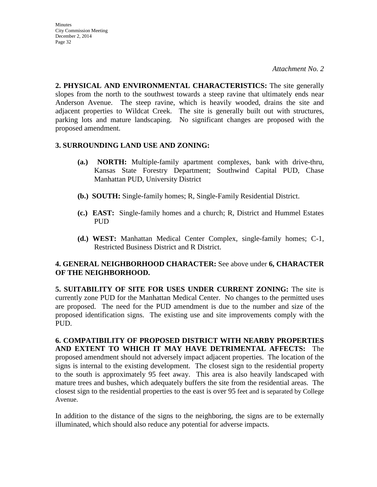**2. PHYSICAL AND ENVIRONMENTAL CHARACTERISTICS:** The site generally slopes from the north to the southwest towards a steep ravine that ultimately ends near Anderson Avenue. The steep ravine, which is heavily wooded, drains the site and adjacent properties to Wildcat Creek. The site is generally built out with structures, parking lots and mature landscaping. No significant changes are proposed with the proposed amendment.

## **3. SURROUNDING LAND USE AND ZONING:**

- **(a.) NORTH:** Multiple-family apartment complexes, bank with drive-thru, Kansas State Forestry Department; Southwind Capital PUD, Chase Manhattan PUD, University District
- **(b.) SOUTH:** Single-family homes; R, Single-Family Residential District.
- **(c.) EAST:** Single-family homes and a church; R, District and Hummel Estates PUD
- **(d.) WEST:** Manhattan Medical Center Complex, single-family homes; C-1, Restricted Business District and R District.

## **4. GENERAL NEIGHBORHOOD CHARACTER:** See above under **6, CHARACTER OF THE NEIGHBORHOOD.**

**5. SUITABILITY OF SITE FOR USES UNDER CURRENT ZONING:** The site is currently zone PUD for the Manhattan Medical Center. No changes to the permitted uses are proposed. The need for the PUD amendment is due to the number and size of the proposed identification signs. The existing use and site improvements comply with the PUD.

**6. COMPATIBILITY OF PROPOSED DISTRICT WITH NEARBY PROPERTIES AND EXTENT TO WHICH IT MAY HAVE DETRIMENTAL AFFECTS:** The proposed amendment should not adversely impact adjacent properties. The location of the signs is internal to the existing development. The closest sign to the residential property to the south is approximately 95 feet away. This area is also heavily landscaped with mature trees and bushes, which adequately buffers the site from the residential areas. The closest sign to the residential properties to the east is over 95 feet and is separated by College Avenue.

In addition to the distance of the signs to the neighboring, the signs are to be externally illuminated, which should also reduce any potential for adverse impacts.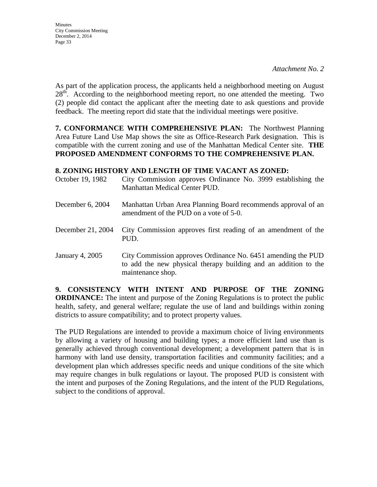As part of the application process, the applicants held a neighborhood meeting on August 28<sup>th</sup>. According to the neighborhood meeting report, no one attended the meeting. Two (2) people did contact the applicant after the meeting date to ask questions and provide feedback. The meeting report did state that the individual meetings were positive.

**7. CONFORMANCE WITH COMPREHENSIVE PLAN:** The Northwest Planning Area Future Land Use Map shows the site as Office-Research Park designation. This is compatible with the current zoning and use of the Manhattan Medical Center site. **THE PROPOSED AMENDMENT CONFORMS TO THE COMPREHENSIVE PLAN.**

## **8. ZONING HISTORY AND LENGTH OF TIME VACANT AS ZONED:**

| October 19, 1982  | City Commission approves Ordinance No. 3999 establishing the<br>Manhattan Medical Center PUD.                                                        |
|-------------------|------------------------------------------------------------------------------------------------------------------------------------------------------|
| December 6, 2004  | Manhattan Urban Area Planning Board recommends approval of an<br>amendment of the PUD on a vote of 5-0.                                              |
| December 21, 2004 | City Commission approves first reading of an amendment of the<br>PUD.                                                                                |
| January 4, 2005   | City Commission approves Ordinance No. 6451 amending the PUD<br>to add the new physical therapy building and an addition to the<br>maintenance shop. |

**9. CONSISTENCY WITH INTENT AND PURPOSE OF THE ZONING ORDINANCE:** The intent and purpose of the Zoning Regulations is to protect the public health, safety, and general welfare; regulate the use of land and buildings within zoning districts to assure compatibility; and to protect property values.

The PUD Regulations are intended to provide a maximum choice of living environments by allowing a variety of housing and building types; a more efficient land use than is generally achieved through conventional development; a development pattern that is in harmony with land use density, transportation facilities and community facilities; and a development plan which addresses specific needs and unique conditions of the site which may require changes in bulk regulations or layout. The proposed PUD is consistent with the intent and purposes of the Zoning Regulations, and the intent of the PUD Regulations, subject to the conditions of approval.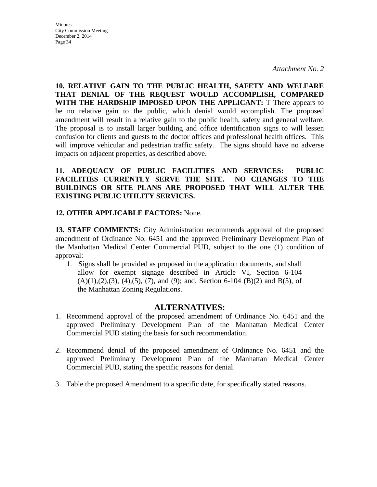**Minutes** City Commission Meeting December 2, 2014 Page 34

**10. RELATIVE GAIN TO THE PUBLIC HEALTH, SAFETY AND WELFARE THAT DENIAL OF THE REQUEST WOULD ACCOMPLISH, COMPARED WITH THE HARDSHIP IMPOSED UPON THE APPLICANT:** T There appears to be no relative gain to the public, which denial would accomplish. The proposed amendment will result in a relative gain to the public health, safety and general welfare. The proposal is to install larger building and office identification signs to will lessen confusion for clients and guests to the doctor offices and professional health offices. This will improve vehicular and pedestrian traffic safety. The signs should have no adverse impacts on adjacent properties, as described above.

**11. ADEQUACY OF PUBLIC FACILITIES AND SERVICES: PUBLIC FACILITIES CURRENTLY SERVE THE SITE. NO CHANGES TO THE BUILDINGS OR SITE PLANS ARE PROPOSED THAT WILL ALTER THE EXISTING PUBLIC UTILITY SERVICES.**

### **12. OTHER APPLICABLE FACTORS:** None.

**13. STAFF COMMENTS:** City Administration recommends approval of the proposed amendment of Ordinance No. 6451 and the approved Preliminary Development Plan of the Manhattan Medical Center Commercial PUD, subject to the one (1) condition of approval:

1. Signs shall be provided as proposed in the application documents, and shall allow for exempt signage described in Article VI, Section 6-104  $(A)(1),(2),(3), (4),(5), (7),$  and  $(9)$ ; and, Section 6-104  $(B)(2)$  and  $B(5)$ , of the Manhattan Zoning Regulations.

## **ALTERNATIVES:**

- 1. Recommend approval of the proposed amendment of Ordinance No. 6451 and the approved Preliminary Development Plan of the Manhattan Medical Center Commercial PUD stating the basis for such recommendation.
- 2. Recommend denial of the proposed amendment of Ordinance No. 6451 and the approved Preliminary Development Plan of the Manhattan Medical Center Commercial PUD, stating the specific reasons for denial.
- 3. Table the proposed Amendment to a specific date, for specifically stated reasons.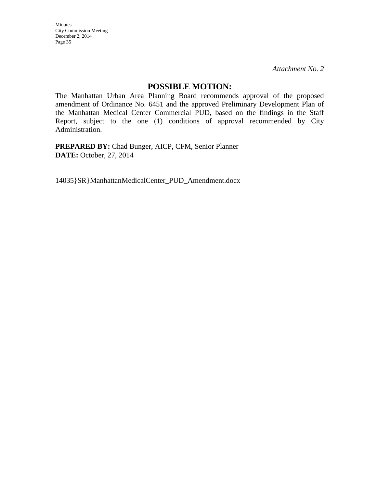*Attachment No. 2*

### **POSSIBLE MOTION:**

The Manhattan Urban Area Planning Board recommends approval of the proposed amendment of Ordinance No. 6451 and the approved Preliminary Development Plan of the Manhattan Medical Center Commercial PUD, based on the findings in the Staff Report, subject to the one (1) conditions of approval recommended by City Administration.

**PREPARED BY:** Chad Bunger, AICP, CFM, Senior Planner **DATE:** October, 27, 2014

14035}SR}ManhattanMedicalCenter\_PUD\_Amendment.docx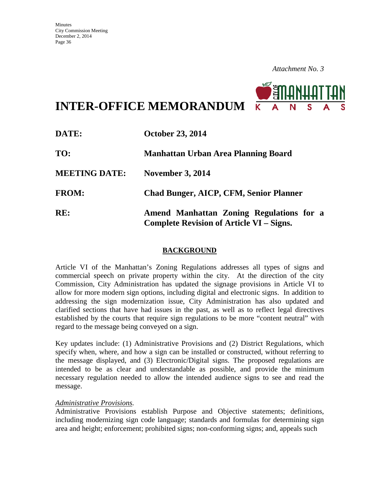

**INTER-OFFICE MEMORANDUM**

| DATE:                | <b>October 23, 2014</b>                                                                     |  |  |
|----------------------|---------------------------------------------------------------------------------------------|--|--|
| TO:                  | <b>Manhattan Urban Area Planning Board</b>                                                  |  |  |
| <b>MEETING DATE:</b> | <b>November 3, 2014</b>                                                                     |  |  |
| <b>FROM:</b>         | <b>Chad Bunger, AICP, CFM, Senior Planner</b>                                               |  |  |
| RE:                  | Amend Manhattan Zoning Regulations for a<br><b>Complete Revision of Article VI – Signs.</b> |  |  |

## **BACKGROUND**

Article VI of the Manhattan's Zoning Regulations addresses all types of signs and commercial speech on private property within the city. At the direction of the city Commission, City Administration has updated the signage provisions in Article VI to allow for more modern sign options, including digital and electronic signs. In addition to addressing the sign modernization issue, City Administration has also updated and clarified sections that have had issues in the past, as well as to reflect legal directives established by the courts that require sign regulations to be more "content neutral" with regard to the message being conveyed on a sign.

Key updates include: (1) Administrative Provisions and (2) District Regulations, which specify when, where, and how a sign can be installed or constructed, without referring to the message displayed, and (3) Electronic/Digital signs. The proposed regulations are intended to be as clear and understandable as possible, and provide the minimum necessary regulation needed to allow the intended audience signs to see and read the message.

#### *Administrative Provisions.*

Administrative Provisions establish Purpose and Objective statements; definitions, including modernizing sign code language; standards and formulas for determining sign area and height; enforcement; prohibited signs; non-conforming signs; and, appeals such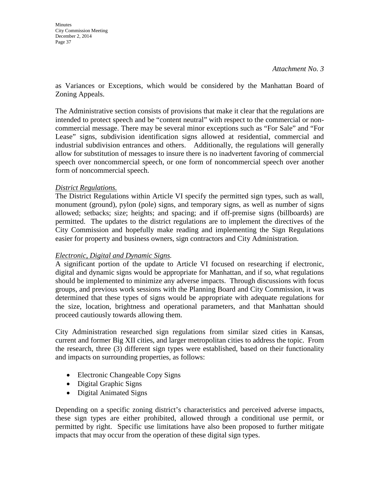as Variances or Exceptions, which would be considered by the Manhattan Board of Zoning Appeals.

The Administrative section consists of provisions that make it clear that the regulations are intended to protect speech and be "content neutral" with respect to the commercial or noncommercial message. There may be several minor exceptions such as "For Sale" and "For Lease" signs, subdivision identification signs allowed at residential, commercial and industrial subdivision entrances and others. Additionally, the regulations will generally allow for substitution of messages to insure there is no inadvertent favoring of commercial speech over noncommercial speech, or one form of noncommercial speech over another form of noncommercial speech.

## *District Regulations.*

The District Regulations within Article VI specify the permitted sign types, such as wall, monument (ground), pylon (pole) signs, and temporary signs, as well as number of signs allowed; setbacks; size; heights; and spacing; and if off-premise signs (billboards) are permitted. The updates to the district regulations are to implement the directives of the City Commission and hopefully make reading and implementing the Sign Regulations easier for property and business owners, sign contractors and City Administration.

## *Electronic, Digital and Dynamic Signs.*

A significant portion of the update to Article VI focused on researching if electronic, digital and dynamic signs would be appropriate for Manhattan, and if so, what regulations should be implemented to minimize any adverse impacts. Through discussions with focus groups, and previous work sessions with the Planning Board and City Commission, it was determined that these types of signs would be appropriate with adequate regulations for the size, location, brightness and operational parameters, and that Manhattan should proceed cautiously towards allowing them.

City Administration researched sign regulations from similar sized cities in Kansas, current and former Big XII cities, and larger metropolitan cities to address the topic. From the research, three (3) different sign types were established, based on their functionality and impacts on surrounding properties, as follows:

- Electronic Changeable Copy Signs
- Digital Graphic Signs
- Digital Animated Signs

Depending on a specific zoning district's characteristics and perceived adverse impacts, these sign types are either prohibited, allowed through a conditional use permit, or permitted by right. Specific use limitations have also been proposed to further mitigate impacts that may occur from the operation of these digital sign types.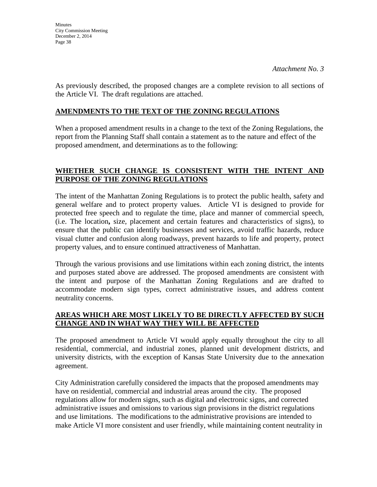As previously described, the proposed changes are a complete revision to all sections of the Article VI. The draft regulations are attached.

## **AMENDMENTS TO THE TEXT OF THE ZONING REGULATIONS**

When a proposed amendment results in a change to the text of the Zoning Regulations, the report from the Planning Staff shall contain a statement as to the nature and effect of the proposed amendment, and determinations as to the following:

## **WHETHER SUCH CHANGE IS CONSISTENT WITH THE INTENT AND PURPOSE OF THE ZONING REGULATIONS**

The intent of the Manhattan Zoning Regulations is to protect the public health, safety and general welfare and to protect property values. Article VI is designed to provide for protected free speech and to regulate the time, place and manner of commercial speech, (i.e. The location**,** size, placement and certain features and characteristics of signs), to ensure that the public can identify businesses and services, avoid traffic hazards, reduce visual clutter and confusion along roadways, prevent hazards to life and property, protect property values, and to ensure continued attractiveness of Manhattan.

Through the various provisions and use limitations within each zoning district, the intents and purposes stated above are addressed. The proposed amendments are consistent with the intent and purpose of the Manhattan Zoning Regulations and are drafted to accommodate modern sign types, correct administrative issues, and address content neutrality concerns.

## **AREAS WHICH ARE MOST LIKELY TO BE DIRECTLY AFFECTED BY SUCH CHANGE AND IN WHAT WAY THEY WILL BE AFFECTED**

The proposed amendment to Article VI would apply equally throughout the city to all residential, commercial, and industrial zones, planned unit development districts, and university districts, with the exception of Kansas State University due to the annexation agreement.

City Administration carefully considered the impacts that the proposed amendments may have on residential, commercial and industrial areas around the city. The proposed regulations allow for modern signs, such as digital and electronic signs, and corrected administrative issues and omissions to various sign provisions in the district regulations and use limitations. The modifications to the administrative provisions are intended to make Article VI more consistent and user friendly, while maintaining content neutrality in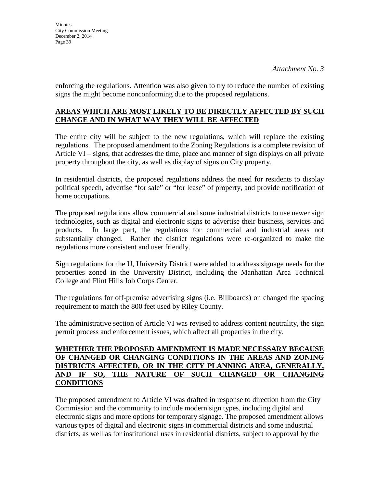enforcing the regulations. Attention was also given to try to reduce the number of existing signs the might become nonconforming due to the proposed regulations.

## **AREAS WHICH ARE MOST LIKELY TO BE DIRECTLY AFFECTED BY SUCH CHANGE AND IN WHAT WAY THEY WILL BE AFFECTED**

The entire city will be subject to the new regulations, which will replace the existing regulations. The proposed amendment to the Zoning Regulations is a complete revision of Article VI – signs, that addresses the time, place and manner of sign displays on all private property throughout the city, as well as display of signs on City property.

In residential districts, the proposed regulations address the need for residents to display political speech, advertise "for sale" or "for lease" of property, and provide notification of home occupations.

The proposed regulations allow commercial and some industrial districts to use newer sign technologies, such as digital and electronic signs to advertise their business, services and products. In large part, the regulations for commercial and industrial areas not substantially changed. Rather the district regulations were re-organized to make the regulations more consistent and user friendly.

Sign regulations for the U, University District were added to address signage needs for the properties zoned in the University District, including the Manhattan Area Technical College and Flint Hills Job Corps Center.

The regulations for off-premise advertising signs (i.e. Billboards) on changed the spacing requirement to match the 800 feet used by Riley County.

The administrative section of Article VI was revised to address content neutrality, the sign permit process and enforcement issues, which affect all properties in the city.

### **WHETHER THE PROPOSED AMENDMENT IS MADE NECESSARY BECAUSE OF CHANGED OR CHANGING CONDITIONS IN THE AREAS AND ZONING DISTRICTS AFFECTED, OR IN THE CITY PLANNING AREA, GENERALLY, AND IF SO, THE NATURE OF SUCH CHANGED OR CHANGING CONDITIONS**

The proposed amendment to Article VI was drafted in response to direction from the City Commission and the community to include modern sign types, including digital and electronic signs and more options for temporary signage. The proposed amendment allows various types of digital and electronic signs in commercial districts and some industrial districts, as well as for institutional uses in residential districts, subject to approval by the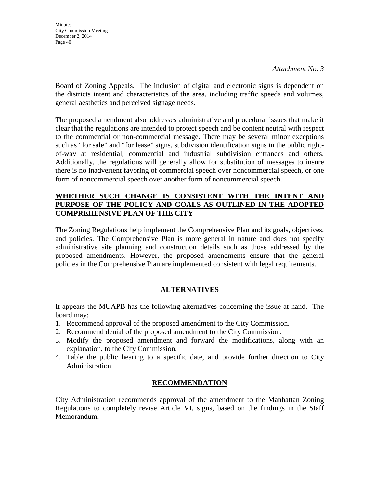Board of Zoning Appeals. The inclusion of digital and electronic signs is dependent on the districts intent and characteristics of the area, including traffic speeds and volumes, general aesthetics and perceived signage needs.

The proposed amendment also addresses administrative and procedural issues that make it clear that the regulations are intended to protect speech and be content neutral with respect to the commercial or non-commercial message. There may be several minor exceptions such as "for sale" and "for lease" signs, subdivision identification signs in the public rightof-way at residential, commercial and industrial subdivision entrances and others. Additionally, the regulations will generally allow for substitution of messages to insure there is no inadvertent favoring of commercial speech over noncommercial speech, or one form of noncommercial speech over another form of noncommercial speech.

## **WHETHER SUCH CHANGE IS CONSISTENT WITH THE INTENT AND PURPOSE OF THE POLICY AND GOALS AS OUTLINED IN THE ADOPTED COMPREHENSIVE PLAN OF THE CITY**

The Zoning Regulations help implement the Comprehensive Plan and its goals, objectives, and policies. The Comprehensive Plan is more general in nature and does not specify administrative site planning and construction details such as those addressed by the proposed amendments. However, the proposed amendments ensure that the general policies in the Comprehensive Plan are implemented consistent with legal requirements.

## **ALTERNATIVES**

It appears the MUAPB has the following alternatives concerning the issue at hand. The board may:

- 1. Recommend approval of the proposed amendment to the City Commission.
- 2. Recommend denial of the proposed amendment to the City Commission.
- 3. Modify the proposed amendment and forward the modifications, along with an explanation, to the City Commission.
- 4. Table the public hearing to a specific date, and provide further direction to City Administration.

## **RECOMMENDATION**

City Administration recommends approval of the amendment to the Manhattan Zoning Regulations to completely revise Article VI, signs, based on the findings in the Staff Memorandum.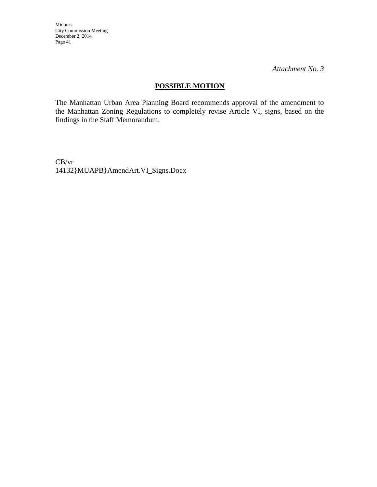*Attachment No. 3*

## **POSSIBLE MOTION**

The Manhattan Urban Area Planning Board recommends approval of the amendment to the Manhattan Zoning Regulations to completely revise Article VI, signs, based on the findings in the Staff Memorandum.

CB/vr 14132}MUAPB}AmendArt.VI\_Signs.Docx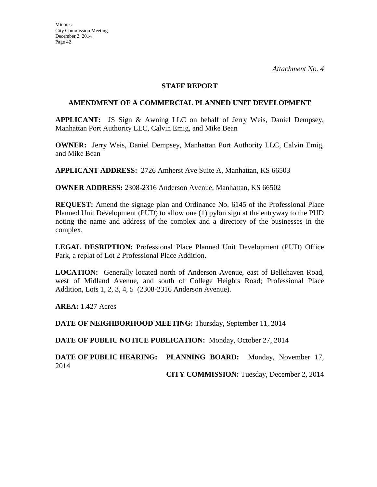#### **STAFF REPORT**

#### **AMENDMENT OF A COMMERCIAL PLANNED UNIT DEVELOPMENT**

**APPLICANT:** JS Sign & Awning LLC on behalf of Jerry Weis, Daniel Dempsey, Manhattan Port Authority LLC, Calvin Emig, and Mike Bean

**OWNER:** Jerry Weis, Daniel Dempsey, Manhattan Port Authority LLC, Calvin Emig, and Mike Bean

**APPLICANT ADDRESS:** 2726 Amherst Ave Suite A, Manhattan, KS 66503

**OWNER ADDRESS:** 2308-2316 Anderson Avenue, Manhattan, KS 66502

**REQUEST:** Amend the signage plan and Ordinance No. 6145 of the Professional Place Planned Unit Development (PUD) to allow one (1) pylon sign at the entryway to the PUD noting the name and address of the complex and a directory of the businesses in the complex.

**LEGAL DESRIPTION:** Professional Place Planned Unit Development (PUD) Office Park, a replat of Lot 2 Professional Place Addition.

**LOCATION:** Generally located north of Anderson Avenue, east of Bellehaven Road, west of Midland Avenue, and south of College Heights Road; Professional Place Addition, Lots 1, 2, 3, 4, 5 (2308-2316 Anderson Avenue).

**AREA:** 1.427 Acres

**DATE OF NEIGHBORHOOD MEETING:** Thursday, September 11, 2014

**DATE OF PUBLIC NOTICE PUBLICATION:** Monday, October 27, 2014

**DATE OF PUBLIC HEARING: PLANNING BOARD:** Monday, November 17, 2014

**CITY COMMISSION:** Tuesday, December 2, 2014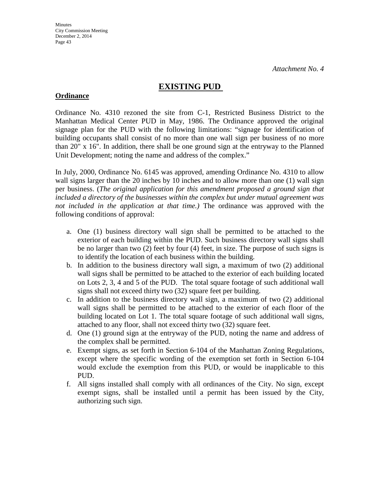## **EXISTING PUD**

## **Ordinance**

Ordinance No. 4310 rezoned the site from C-1, Restricted Business District to the Manhattan Medical Center PUD in May, 1986. The Ordinance approved the original signage plan for the PUD with the following limitations: "signage for identification of building occupants shall consist of no more than one wall sign per business of no more than 20" x 16". In addition, there shall be one ground sign at the entryway to the Planned Unit Development; noting the name and address of the complex."

In July, 2000, Ordinance No. 6145 was approved, amending Ordinance No. 4310 to allow wall signs larger than the 20 inches by 10 inches and to allow more than one (1) wall sign per business. (*The original application for this amendment proposed a ground sign that included a directory of the businesses within the complex but under mutual agreement was not included in the application at that time.)* The ordinance was approved with the following conditions of approval:

- a. One (1) business directory wall sign shall be permitted to be attached to the exterior of each building within the PUD. Such business directory wall signs shall be no larger than two (2) feet by four (4) feet, in size. The purpose of such signs is to identify the location of each business within the building.
- b. In addition to the business directory wall sign, a maximum of two (2) additional wall signs shall be permitted to be attached to the exterior of each building located on Lots 2, 3, 4 and 5 of the PUD. The total square footage of such additional wall signs shall not exceed thirty two (32) square feet per building.
- c. In addition to the business directory wall sign, a maximum of two (2) additional wall signs shall be permitted to be attached to the exterior of each floor of the building located on Lot 1. The total square footage of such additional wall signs, attached to any floor, shall not exceed thirty two (32) square feet.
- d. One (1) ground sign at the entryway of the PUD, noting the name and address of the complex shall be permitted.
- e. Exempt signs, as set forth in Section 6-104 of the Manhattan Zoning Regulations, except where the specific wording of the exemption set forth in Section 6-104 would exclude the exemption from this PUD, or would be inapplicable to this PUD.
- f. All signs installed shall comply with all ordinances of the City. No sign, except exempt signs, shall be installed until a permit has been issued by the City, authorizing such sign.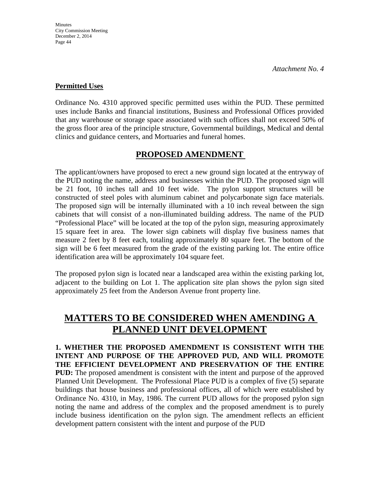## **Permitted Uses**

Ordinance No. 4310 approved specific permitted uses within the PUD. These permitted uses include Banks and financial institutions, Business and Professional Offices provided that any warehouse or storage space associated with such offices shall not exceed 50% of the gross floor area of the principle structure, Governmental buildings, Medical and dental clinics and guidance centers, and Mortuaries and funeral homes.

## **PROPOSED AMENDMENT**

The applicant/owners have proposed to erect a new ground sign located at the entryway of the PUD noting the name, address and businesses within the PUD. The proposed sign will be 21 foot, 10 inches tall and 10 feet wide. The pylon support structures will be constructed of steel poles with aluminum cabinet and polycarbonate sign face materials. The proposed sign will be internally illuminated with a 10 inch reveal between the sign cabinets that will consist of a non-illuminated building address. The name of the PUD "Professional Place" will be located at the top of the pylon sign, measuring approximately 15 square feet in area. The lower sign cabinets will display five business names that measure 2 feet by 8 feet each, totaling approximately 80 square feet. The bottom of the sign will be 6 feet measured from the grade of the existing parking lot. The entire office identification area will be approximately 104 square feet.

The proposed pylon sign is located near a landscaped area within the existing parking lot, adjacent to the building on Lot 1. The application site plan shows the pylon sign sited approximately 25 feet from the Anderson Avenue front property line.

## **MATTERS TO BE CONSIDERED WHEN AMENDING A PLANNED UNIT DEVELOPMENT**

**1. WHETHER THE PROPOSED AMENDMENT IS CONSISTENT WITH THE INTENT AND PURPOSE OF THE APPROVED PUD, AND WILL PROMOTE THE EFFICIENT DEVELOPMENT AND PRESERVATION OF THE ENTIRE PUD:** The proposed amendment is consistent with the intent and purpose of the approved Planned Unit Development. The Professional Place PUD is a complex of five (5) separate buildings that house business and professional offices, all of which were established by Ordinance No. 4310, in May, 1986. The current PUD allows for the proposed pylon sign noting the name and address of the complex and the proposed amendment is to purely include business identification on the pylon sign. The amendment reflects an efficient development pattern consistent with the intent and purpose of the PUD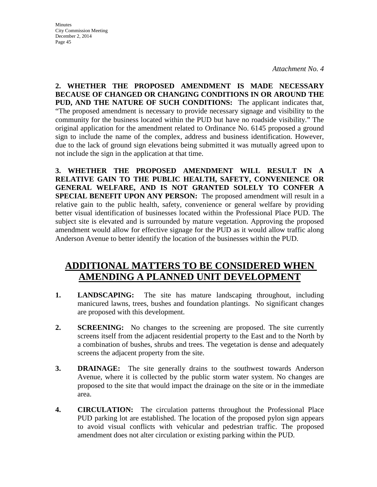*Attachment No. 4*

**2. WHETHER THE PROPOSED AMENDMENT IS MADE NECESSARY BECAUSE OF CHANGED OR CHANGING CONDITIONS IN OR AROUND THE PUD, AND THE NATURE OF SUCH CONDITIONS:** The applicant indicates that, "The proposed amendment is necessary to provide necessary signage and visibility to the community for the business located within the PUD but have no roadside visibility." The original application for the amendment related to Ordinance No. 6145 proposed a ground sign to include the name of the complex, address and business identification. However, due to the lack of ground sign elevations being submitted it was mutually agreed upon to not include the sign in the application at that time.

**3. WHETHER THE PROPOSED AMENDMENT WILL RESULT IN A RELATIVE GAIN TO THE PUBLIC HEALTH, SAFETY, CONVENIENCE OR GENERAL WELFARE, AND IS NOT GRANTED SOLELY TO CONFER A SPECIAL BENEFIT UPON ANY PERSON:** The proposed amendment will result in a relative gain to the public health, safety, convenience or general welfare by providing better visual identification of businesses located within the Professional Place PUD. The subject site is elevated and is surrounded by mature vegetation. Approving the proposed amendment would allow for effective signage for the PUD as it would allow traffic along Anderson Avenue to better identify the location of the businesses within the PUD.

## **ADDITIONAL MATTERS TO BE CONSIDERED WHEN AMENDING A PLANNED UNIT DEVELOPMENT**

- **1. LANDSCAPING:** The site has mature landscaping throughout, including manicured lawns, trees, bushes and foundation plantings. No significant changes are proposed with this development.
- **2. SCREENING:** No changes to the screening are proposed. The site currently screens itself from the adjacent residential property to the East and to the North by a combination of bushes, shrubs and trees. The vegetation is dense and adequately screens the adjacent property from the site.
- **3. DRAINAGE:** The site generally drains to the southwest towards Anderson Avenue, where it is collected by the public storm water system. No changes are proposed to the site that would impact the drainage on the site or in the immediate area.
- **4. CIRCULATION:** The circulation patterns throughout the Professional Place PUD parking lot are established. The location of the proposed pylon sign appears to avoid visual conflicts with vehicular and pedestrian traffic. The proposed amendment does not alter circulation or existing parking within the PUD.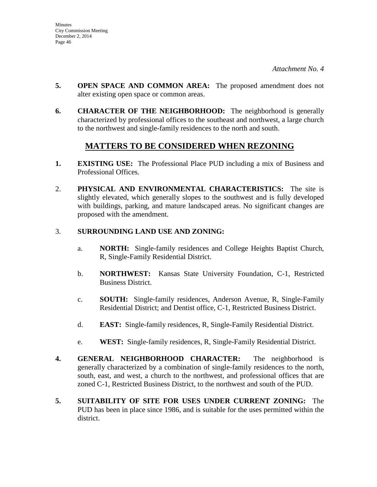- **5. OPEN SPACE AND COMMON AREA:** The proposed amendment does not alter existing open space or common areas.
- **6. CHARACTER OF THE NEIGHBORHOOD:** The neighborhood is generally characterized by professional offices to the southeast and northwest, a large church to the northwest and single-family residences to the north and south.

## **MATTERS TO BE CONSIDERED WHEN REZONING**

- **1. EXISTING USE:** The Professional Place PUD including a mix of Business and Professional Offices.
- 2. **PHYSICAL AND ENVIRONMENTAL CHARACTERISTICS:** The site is slightly elevated, which generally slopes to the southwest and is fully developed with buildings, parking, and mature landscaped areas. No significant changes are proposed with the amendment.

## 3. **SURROUNDING LAND USE AND ZONING:**

- a. **NORTH:** Single-family residences and College Heights Baptist Church, R, Single-Family Residential District.
- b. **NORTHWEST:** Kansas State University Foundation, C-1, Restricted Business District.
- c. **SOUTH:** Single-family residences, Anderson Avenue, R, Single-Family Residential District; and Dentist office, C-1, Restricted Business District.
- d. **EAST:** Single-family residences, R, Single-Family Residential District.
- e. **WEST:** Single-family residences, R, Single-Family Residential District.
- **4. GENERAL NEIGHBORHOOD CHARACTER:** The neighborhood is generally characterized by a combination of single-family residences to the north, south, east, and west, a church to the northwest, and professional offices that are zoned C-1, Restricted Business District, to the northwest and south of the PUD.
- **5. SUITABILITY OF SITE FOR USES UNDER CURRENT ZONING:** The PUD has been in place since 1986, and is suitable for the uses permitted within the district.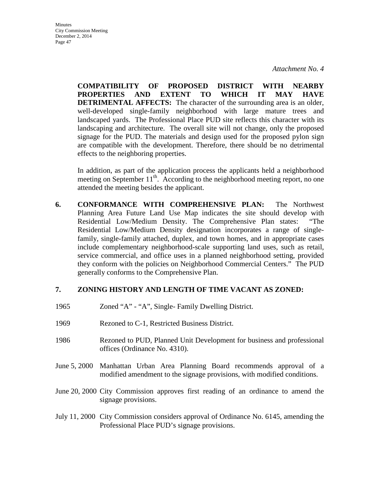**Minutes** City Commission Meeting December 2, 2014 Page 47

> **COMPATIBILITY OF PROPOSED DISTRICT WITH NEARBY PROPERTIES AND EXTENT TO WHICH IT MAY HAVE DETRIMENTAL AFFECTS:** The character of the surrounding area is an older, well-developed single-family neighborhood with large mature trees and landscaped yards. The Professional Place PUD site reflects this character with its landscaping and architecture. The overall site will not change, only the proposed signage for the PUD. The materials and design used for the proposed pylon sign are compatible with the development. Therefore, there should be no detrimental effects to the neighboring properties.

> In addition, as part of the application process the applicants held a neighborhood meeting on September  $11<sup>th</sup>$ . According to the neighborhood meeting report, no one attended the meeting besides the applicant.

**6. CONFORMANCE WITH COMPREHENSIVE PLAN:** The Northwest Planning Area Future Land Use Map indicates the site should develop with Residential Low/Medium Density. The Comprehensive Plan states: "The Residential Low/Medium Density designation incorporates a range of singlefamily, single-family attached, duplex, and town homes, and in appropriate cases include complementary neighborhood-scale supporting land uses, such as retail, service commercial, and office uses in a planned neighborhood setting, provided they conform with the policies on Neighborhood Commercial Centers." The PUD generally conforms to the Comprehensive Plan.

#### **7. ZONING HISTORY AND LENGTH OF TIME VACANT AS ZONED:**

- 1965 Zoned "A" "A", Single- Family Dwelling District.
- 1969 Rezoned to C-1, Restricted Business District.
- 1986 Rezoned to PUD, Planned Unit Development for business and professional offices (Ordinance No. 4310).
- June 5, 2000 Manhattan Urban Area Planning Board recommends approval of a modified amendment to the signage provisions, with modified conditions.
- June 20, 2000 City Commission approves first reading of an ordinance to amend the signage provisions.
- July 11, 2000 City Commission considers approval of Ordinance No. 6145, amending the Professional Place PUD's signage provisions.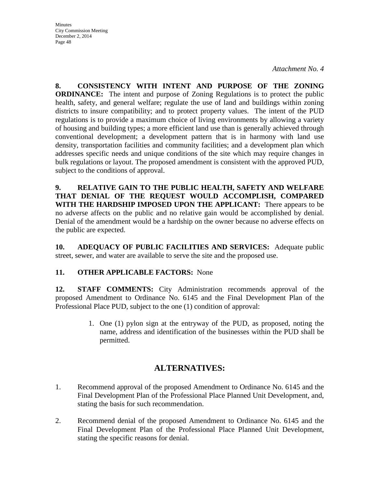*Attachment No. 4*

**8. CONSISTENCY WITH INTENT AND PURPOSE OF THE ZONING ORDINANCE:** The intent and purpose of Zoning Regulations is to protect the public health, safety, and general welfare; regulate the use of land and buildings within zoning districts to insure compatibility; and to protect property values. The intent of the PUD regulations is to provide a maximum choice of living environments by allowing a variety of housing and building types; a more efficient land use than is generally achieved through conventional development; a development pattern that is in harmony with land use density, transportation facilities and community facilities; and a development plan which addresses specific needs and unique conditions of the site which may require changes in bulk regulations or layout. The proposed amendment is consistent with the approved PUD, subject to the conditions of approval.

**9. RELATIVE GAIN TO THE PUBLIC HEALTH, SAFETY AND WELFARE THAT DENIAL OF THE REQUEST WOULD ACCOMPLISH, COMPARED WITH THE HARDSHIP IMPOSED UPON THE APPLICANT:** There appears to be no adverse affects on the public and no relative gain would be accomplished by denial. Denial of the amendment would be a hardship on the owner because no adverse effects on the public are expected.

**10. ADEQUACY OF PUBLIC FACILITIES AND SERVICES:** Adequate public street, sewer, and water are available to serve the site and the proposed use.

## **11. OTHER APPLICABLE FACTORS:** None

**12. STAFF COMMENTS:** City Administration recommends approval of the proposed Amendment to Ordinance No. 6145 and the Final Development Plan of the Professional Place PUD, subject to the one (1) condition of approval:

> 1. One (1) pylon sign at the entryway of the PUD, as proposed, noting the name, address and identification of the businesses within the PUD shall be permitted.

## **ALTERNATIVES:**

- 1. Recommend approval of the proposed Amendment to Ordinance No. 6145 and the Final Development Plan of the Professional Place Planned Unit Development, and, stating the basis for such recommendation.
- 2. Recommend denial of the proposed Amendment to Ordinance No. 6145 and the Final Development Plan of the Professional Place Planned Unit Development, stating the specific reasons for denial.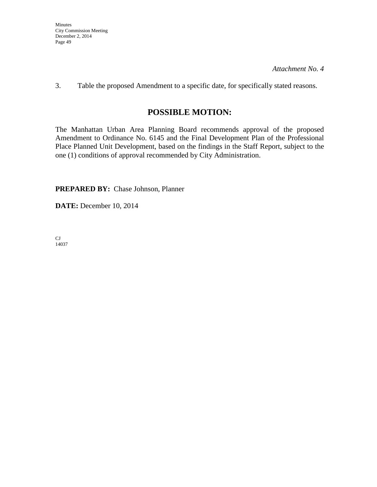3. Table the proposed Amendment to a specific date, for specifically stated reasons.

## **POSSIBLE MOTION:**

The Manhattan Urban Area Planning Board recommends approval of the proposed Amendment to Ordinance No. 6145 and the Final Development Plan of the Professional Place Planned Unit Development, based on the findings in the Staff Report, subject to the one (1) conditions of approval recommended by City Administration.

**PREPARED BY:** Chase Johnson, Planner

**DATE:** December 10, 2014

CJ 14037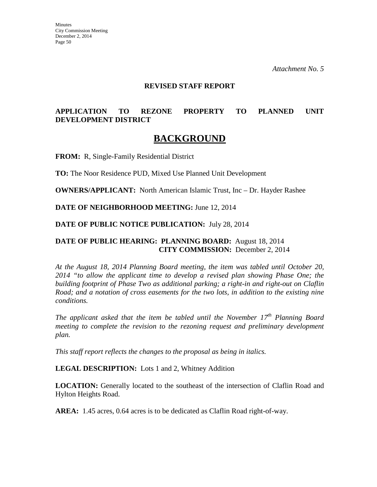#### **REVISED STAFF REPORT**

## **APPLICATION TO REZONE PROPERTY TO PLANNED UNIT DEVELOPMENT DISTRICT**

## **BACKGROUND**

**FROM:** R, Single-Family Residential District

**TO:** The Noor Residence PUD, Mixed Use Planned Unit Development

**OWNERS/APPLICANT:** North American Islamic Trust, Inc – Dr. Hayder Rashee

**DATE OF NEIGHBORHOOD MEETING:** June 12, 2014

#### **DATE OF PUBLIC NOTICE PUBLICATION:** July 28, 2014

## **DATE OF PUBLIC HEARING: PLANNING BOARD:** August 18, 2014 **CITY COMMISSION:** December 2, 2014

*At the August 18, 2014 Planning Board meeting, the item was tabled until October 20, 2014 "to allow the applicant time to develop a revised plan showing Phase One; the building footprint of Phase Two as additional parking; a right-in and right-out on Claflin Road; and a notation of cross easements for the two lots, in addition to the existing nine conditions.* 

*The applicant asked that the item be tabled until the November 17th Planning Board meeting to complete the revision to the rezoning request and preliminary development plan.* 

*This staff report reflects the changes to the proposal as being in italics.* 

#### **LEGAL DESCRIPTION:** Lots 1 and 2, Whitney Addition

**LOCATION:** Generally located to the southeast of the intersection of Claflin Road and Hylton Heights Road.

**AREA:** 1.45 acres, 0.64 acres is to be dedicated as Claflin Road right-of-way.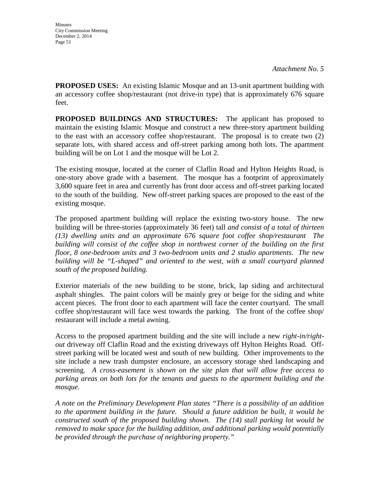**PROPOSED USES:** An existing Islamic Mosque and an 13-unit apartment building with an accessory coffee shop/restaurant (not drive-in type) that is approximately 676 square feet.

**PROPOSED BUILDINGS AND STRUCTURES:** The applicant has proposed to maintain the existing Islamic Mosque and construct a new three-story apartment building to the east with an accessory coffee shop/restaurant. The proposal is to create two (2) separate lots, with shared access and off-street parking among both lots. The apartment building will be on Lot 1 and the mosque will be Lot 2.

The existing mosque, located at the corner of Claflin Road and Hylton Heights Road, is one-story above grade with a basement. The mosque has a footprint of approximately 3,600 square feet in area and currently has front door access and off-street parking located to the south of the building. New off-street parking spaces are proposed to the east of the existing mosque.

The proposed apartment building will replace the existing two-story house. The new building will be three-stories (approximately 36 feet) tall *and consist of a total of thirteen (13) dwelling units and an approximate 676 square foot coffee shop/restaurant The building will consist of the coffee shop in northwest corner of the building on the first floor, 8 one-bedroom units and 3 two-bedroom units and 2 studio apartments. The new building will be "L-shaped" and oriented to the west, with a small courtyard planned south of the proposed building.* 

Exterior materials of the new building to be stone, brick, lap siding and architectural asphalt shingles. The paint colors will be mainly grey or beige for the siding and white accent pieces. The front door to each apartment will face the center courtyard. The small coffee shop/restaurant will face west towards the parking. The front of the coffee shop/ restaurant will include a metal awning.

Access to the proposed apartment building and the site will include a new *right-in/rightout* driveway off Claflin Road and the existing driveways off Hylton Heights Road. Offstreet parking will be located west and south of new building. Other improvements to the site include a new trash dumpster enclosure, an accessory storage shed landscaping and screening. *A cross-easement is shown on the site plan that will allow free access to parking areas on both lots for the tenants and guests to the apartment building and the mosque.*

*A note on the Preliminary Development Plan states "There is a possibility of an addition to the apartment building in the future. Should a future addition be built, it would be constructed south of the proposed building shown. The (14) stall parking lot would be removed to make space for the building addition, and additional parking would potentially be provided through the purchase of neighboring property."*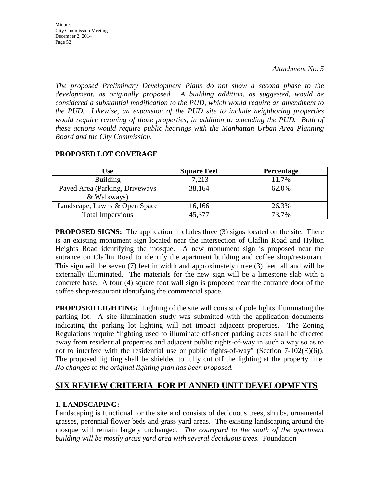**Minutes** City Commission Meeting December 2, 2014 Page 52

*The proposed Preliminary Development Plans do not show a second phase to the development, as originally proposed. A building addition, as suggested, would be considered a substantial modification to the PUD, which would require an amendment to the PUD. Likewise, an expansion of the PUD site to include neighboring properties*  would require rezoning of those properties, in addition to amending the PUD. Both of *these actions would require public hearings with the Manhattan Urban Area Planning Board and the City Commission.* 

### **PROPOSED LOT COVERAGE**

| Use                                           | <b>Square Feet</b> | <b>Percentage</b> |
|-----------------------------------------------|--------------------|-------------------|
| <b>Building</b>                               | 7,213              | 11.7%             |
| Paved Area (Parking, Driveways<br>& Walkways) | 38,164             | 62.0%             |
| Landscape, Lawns & Open Space                 | 16,166             | 26.3%             |
| <b>Total Impervious</b>                       | 45,377             | 73.7%             |

**PROPOSED SIGNS:** The application includes three (3) signs located on the site. There is an existing monument sign located near the intersection of Claflin Road and Hylton Heights Road identifying the mosque. A new monument sign is proposed near the entrance on Claflin Road to identify the apartment building and coffee shop/restaurant. This sign will be seven (7) feet in width and approximately three (3) feet tall and will be externally illuminated. The materials for the new sign will be a limestone slab with a concrete base. A four (4) square foot wall sign is proposed near the entrance door of the coffee shop/restaurant identifying the commercial space.

**PROPOSED LIGHTING:** Lighting of the site will consist of pole lights illuminating the parking lot. A site illumination study was submitted with the application documents indicating the parking lot lighting will not impact adjacent properties. The Zoning Regulations require "lighting used to illuminate off-street parking areas shall be directed away from residential properties and adjacent public rights-of-way in such a way so as to not to interfere with the residential use or public rights-of-way" (Section 7-102(E)(6)). The proposed lighting shall be shielded to fully cut off the lighting at the property line. *No changes to the original lighting plan has been proposed.* 

## **SIX REVIEW CRITERIA FOR PLANNED UNIT DEVELOPMENTS**

## **1. LANDSCAPING:**

Landscaping is functional for the site and consists of deciduous trees, shrubs, ornamental grasses, perennial flower beds and grass yard areas. The existing landscaping around the mosque will remain largely unchanged. *The courtyard to the south of the apartment building will be mostly grass yard area with several deciduous trees.* Foundation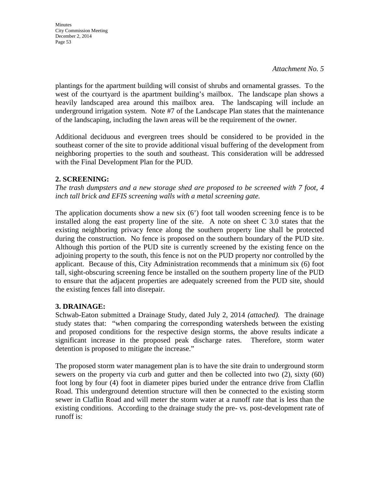plantings for the apartment building will consist of shrubs and ornamental grasses. To the west of the courtyard is the apartment building's mailbox. The landscape plan shows a heavily landscaped area around this mailbox area. The landscaping will include an underground irrigation system. Note #7 of the Landscape Plan states that the maintenance of the landscaping, including the lawn areas will be the requirement of the owner.

Additional deciduous and evergreen trees should be considered to be provided in the southeast corner of the site to provide additional visual buffering of the development from neighboring properties to the south and southeast. This consideration will be addressed with the Final Development Plan for the PUD.

## **2. SCREENING:**

*The trash dumpsters and a new storage shed are proposed to be screened with 7 foot, 4 inch tall brick and EFIS screening walls with a metal screening gate.* 

The application documents show a new six (6') foot tall wooden screening fence is to be installed along the east property line of the site. A note on sheet C 3.0 states that the existing neighboring privacy fence along the southern property line shall be protected during the construction. No fence is proposed on the southern boundary of the PUD site. Although this portion of the PUD site is currently screened by the existing fence on the adjoining property to the south, this fence is not on the PUD property nor controlled by the applicant. Because of this, City Administration recommends that a minimum six (6) foot tall, sight-obscuring screening fence be installed on the southern property line of the PUD to ensure that the adjacent properties are adequately screened from the PUD site, should the existing fences fall into disrepair.

## **3. DRAINAGE:**

Schwab-Eaton submitted a Drainage Study, dated July 2, 2014 *(attached).* The drainage study states that: "when comparing the corresponding watersheds between the existing and proposed conditions for the respective design storms, the above results indicate a significant increase in the proposed peak discharge rates. Therefore, storm water detention is proposed to mitigate the increase."

The proposed storm water management plan is to have the site drain to underground storm sewers on the property via curb and gutter and then be collected into two (2), sixty (60) foot long by four (4) foot in diameter pipes buried under the entrance drive from Claflin Road. This underground detention structure will then be connected to the existing storm sewer in Claflin Road and will meter the storm water at a runoff rate that is less than the existing conditions. According to the drainage study the pre- vs. post-development rate of runoff is: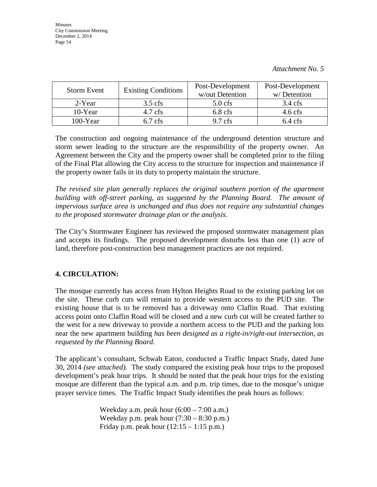| <b>Storm Event</b> | <b>Existing Conditions</b> | Post-Development<br>w/out Detention | Post-Development<br>w/Detention |
|--------------------|----------------------------|-------------------------------------|---------------------------------|
| 2-Year             | $3.5$ cfs                  | $5.0$ cfs                           | $3.4 \text{ cfs}$               |
| 10-Year            | $4.7$ cfs                  | $6.8$ cfs                           | $4.6$ cfs                       |
| $100$ -Year        | $6.7$ cfs                  | $9.7 \text{ cfs}$                   | $6.4 \text{ cfs}$               |

The construction and ongoing maintenance of the underground detention structure and storm sewer leading to the structure are the responsibility of the property owner. An Agreement between the City and the property owner shall be completed prior to the filing of the Final Plat allowing the City access to the structure for inspection and maintenance if the property owner fails in its duty to property maintain the structure.

*The revised site plan generally replaces the original southern portion of the apartment building with off-street parking, as suggested by the Planning Board. The amount of impervious surface area is unchanged and thus does not require any substantial changes to the proposed stormwater drainage plan or the analysis.* 

The City's Stormwater Engineer has reviewed the proposed stormwater management plan and accepts its findings. The proposed development disturbs less than one (1) acre of land, therefore post-construction best management practices are not required.

## **4. CIRCULATION:**

The mosque currently has access from Hylton Heights Road to the existing parking lot on the site. These curb cuts will remain to provide western access to the PUD site. The existing house that is to be removed has a driveway onto Claflin Road. That existing access point onto Claflin Road will be closed and a new curb cut will be created farther to the west for a new driveway to provide a northern access to the PUD and the parking lots near the new apartment building *has been designed as a right-in/right-out intersection, as requested by the Planning Board*.

The applicant's consultant, Schwab Eaton, conducted a Traffic Impact Study, dated June 30, 2014 *(see attached).* The study compared the existing peak hour trips to the proposed development's peak hour trips. It should be noted that the peak hour trips for the existing mosque are different than the typical a.m. and p.m. trip times, due to the mosque's unique prayer service times. The Traffic Impact Study identifies the peak hours as follows:

> Weekday a.m. peak hour  $(6:00 - 7:00$  a.m.) Weekday p.m. peak hour  $(7:30 - 8:30 \text{ p.m.})$ Friday p.m. peak hour  $(12:15 - 1:15 \text{ p.m.})$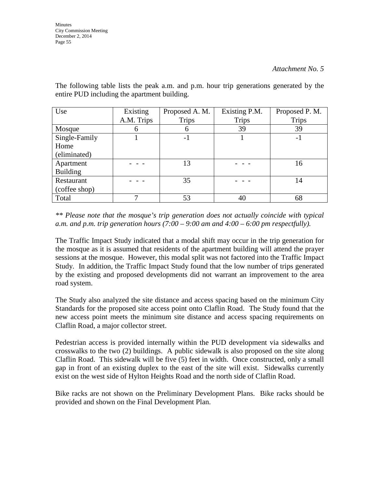| Use             | Existing     | Proposed A. M. | Existing P.M. | Proposed P. M. |
|-----------------|--------------|----------------|---------------|----------------|
|                 | A.M. Trips   | <b>Trips</b>   | <b>Trips</b>  | <b>Trips</b>   |
| Mosque          | <sub>0</sub> | 6              | 39            | 39             |
| Single-Family   |              | $-1$           |               | $-1$           |
| Home            |              |                |               |                |
| (eliminated)    |              |                |               |                |
| Apartment       |              | 13             |               | 16             |
| <b>Building</b> |              |                |               |                |
| Restaurant      |              | 35             |               | 14             |
| (coffee shop)   |              |                |               |                |
| Total           |              | 53             | 40            | 68             |

The following table lists the peak a.m. and p.m. hour trip generations generated by the entire PUD including the apartment building.

*\*\* Please note that the mosque's trip generation does not actually coincide with typical*  a.m. and p.m. trip generation hours  $(7:00 - 9:00$  am and  $4:00 - 6:00$  pm respectfully).

The Traffic Impact Study indicated that a modal shift may occur in the trip generation for the mosque as it is assumed that residents of the apartment building will attend the prayer sessions at the mosque. However, this modal split was not factored into the Traffic Impact Study. In addition, the Traffic Impact Study found that the low number of trips generated by the existing and proposed developments did not warrant an improvement to the area road system.

The Study also analyzed the site distance and access spacing based on the minimum City Standards for the proposed site access point onto Claflin Road. The Study found that the new access point meets the minimum site distance and access spacing requirements on Claflin Road, a major collector street.

Pedestrian access is provided internally within the PUD development via sidewalks and crosswalks to the two (2) buildings. A public sidewalk is also proposed on the site along Claflin Road. This sidewalk will be five (5) feet in width. Once constructed, only a small gap in front of an existing duplex to the east of the site will exist. Sidewalks currently exist on the west side of Hylton Heights Road and the north side of Claflin Road.

Bike racks are not shown on the Preliminary Development Plans. Bike racks should be provided and shown on the Final Development Plan.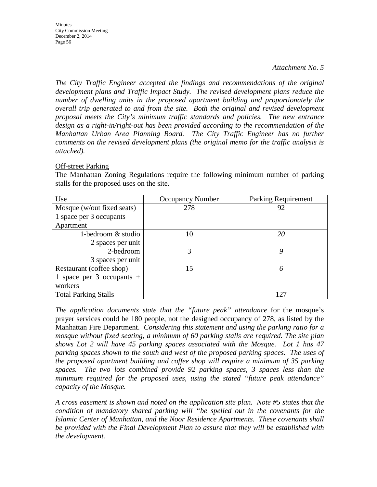*The City Traffic Engineer accepted the findings and recommendations of the original development plans and Traffic Impact Study. The revised development plans reduce the number of dwelling units in the proposed apartment building and proportionately the overall trip generated to and from the site. Both the original and revised development proposal meets the City's minimum traffic standards and policies. The new entrance design as a right-in/right-out has been provided according to the recommendation of the Manhattan Urban Area Planning Board. The City Traffic Engineer has no further comments on the revised development plans (the original memo for the traffic analysis is attached).* 

#### Off-street Parking

The Manhattan Zoning Regulations require the following minimum number of parking stalls for the proposed uses on the site.

| Use                         | <b>Occupancy Number</b> | <b>Parking Requirement</b> |
|-----------------------------|-------------------------|----------------------------|
| Mosque (w/out fixed seats)  | 278                     | 92                         |
| 1 space per 3 occupants     |                         |                            |
| Apartment                   |                         |                            |
| 1-bedroom & studio          | 10                      | 20                         |
| 2 spaces per unit           |                         |                            |
| 2-bedroom                   | 3                       | Q                          |
| 3 spaces per unit           |                         |                            |
| Restaurant (coffee shop)    | 15                      | 6                          |
| 1 space per 3 occupants $+$ |                         |                            |
| workers                     |                         |                            |
| <b>Total Parking Stalls</b> |                         | 127                        |

*The application documents state that the "future peak" attendance* for the mosque's prayer services could be 180 people, not the designed occupancy of 278, as listed by the Manhattan Fire Department. *Considering this statement and using the parking ratio for a mosque without fixed seating, a minimum of 60 parking stalls are required. The site plan shows Lot 2 will have 45 parking spaces associated with the Mosque. Lot 1 has 47 parking spaces shown to the south and west of the proposed parking spaces. The uses of the proposed apartment building and coffee shop will require a minimum of 35 parking spaces. The two lots combined provide 92 parking spaces, 3 spaces less than the minimum required for the proposed uses, using the stated "future peak attendance" capacity of the Mosque.* 

*A cross easement is shown and noted on the application site plan. Note #5 states that the condition of mandatory shared parking will "be spelled out in the covenants for the Islamic Center of Manhattan, and the Noor Residence Apartments. These covenants shall be provided with the Final Development Plan to assure that they will be established with the development.*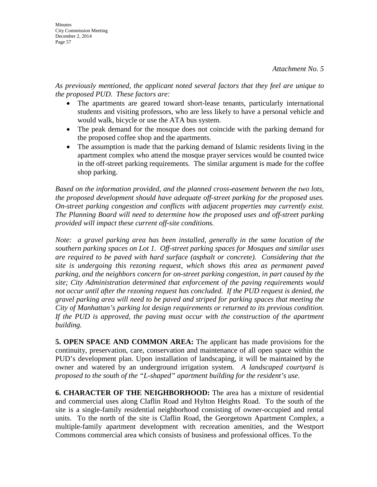*As previously mentioned, the applicant noted several factors that they feel are unique to the proposed PUD. These factors are:* 

- The apartments are geared toward short-lease tenants, particularly international students and visiting professors, who are less likely to have a personal vehicle and would walk, bicycle or use the ATA bus system.
- The peak demand for the mosque does not coincide with the parking demand for the proposed coffee shop and the apartments.
- The assumption is made that the parking demand of Islamic residents living in the apartment complex who attend the mosque prayer services would be counted twice in the off-street parking requirements. The similar argument is made for the coffee shop parking.

*Based on the information provided, and the planned cross-easement between the two lots, the proposed development should have adequate off-street parking for the proposed uses. On-street parking congestion and conflicts with adjacent properties may currently exist. The Planning Board will need to determine how the proposed uses and off-street parking provided will impact these current off-site conditions.* 

*Note: a gravel parking area has been installed, generally in the same location of the southern parking spaces on Lot 1. Off-street parking spaces for Mosques and similar uses are required to be paved with hard surface (asphalt or concrete). Considering that the site is undergoing this rezoning request, which shows this area as permanent paved parking, and the neighbors concern for on-street parking congestion, in part caused by the site; City Administration determined that enforcement of the paving requirements would*  not occur until after the rezoning request has concluded. If the PUD request is denied, the *gravel parking area will need to be paved and striped for parking spaces that meeting the City of Manhattan's parking lot design requirements or returned to its previous condition.*  If the PUD is approved, the paving must occur with the construction of the apartment *building.* 

**5. OPEN SPACE AND COMMON AREA:** The applicant has made provisions for the continuity, preservation, care, conservation and maintenance of all open space within the PUD's development plan. Upon installation of landscaping, it will be maintained by the owner and watered by an underground irrigation system*. A landscaped courtyard is proposed to the south of the "L-shaped" apartment building for the resident's use*.

**6. CHARACTER OF THE NEIGHBORHOOD:** The area has a mixture of residential and commercial uses along Claflin Road and Hylton Heights Road. To the south of the site is a single-family residential neighborhood consisting of owner-occupied and rental units. To the north of the site is Claflin Road, the Georgetown Apartment Complex, a multiple-family apartment development with recreation amenities, and the Westport Commons commercial area which consists of business and professional offices. To the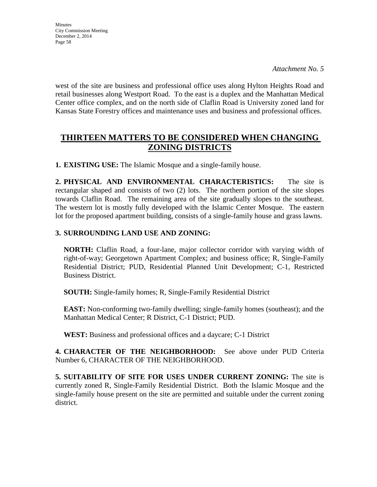*Attachment No. 5*

west of the site are business and professional office uses along Hylton Heights Road and retail businesses along Westport Road. To the east is a duplex and the Manhattan Medical Center office complex, and on the north side of Claflin Road is University zoned land for Kansas State Forestry offices and maintenance uses and business and professional offices.

## **THIRTEEN MATTERS TO BE CONSIDERED WHEN CHANGING ZONING DISTRICTS**

**1. EXISTING USE:** The Islamic Mosque and a single-family house.

**2. PHYSICAL AND ENVIRONMENTAL CHARACTERISTICS:** The site is rectangular shaped and consists of two (2) lots. The northern portion of the site slopes towards Claflin Road. The remaining area of the site gradually slopes to the southeast. The western lot is mostly fully developed with the Islamic Center Mosque. The eastern lot for the proposed apartment building, consists of a single-family house and grass lawns.

## **3. SURROUNDING LAND USE AND ZONING:**

**NORTH:** Claflin Road, a four-lane, major collector corridor with varying width of right-of-way; Georgetown Apartment Complex; and business office; R, Single-Family Residential District; PUD, Residential Planned Unit Development; C-1, Restricted Business District.

**SOUTH:** Single-family homes; R, Single-Family Residential District

**EAST:** Non-conforming two-family dwelling; single-family homes (southeast); and the Manhattan Medical Center; R District, C-1 District; PUD.

**WEST:** Business and professional offices and a daycare; C-1 District

**4. CHARACTER OF THE NEIGHBORHOOD:** See above under PUD Criteria Number 6, CHARACTER OF THE NEIGHBORHOOD.

**5. SUITABILITY OF SITE FOR USES UNDER CURRENT ZONING:** The site is currently zoned R, Single-Family Residential District. Both the Islamic Mosque and the single-family house present on the site are permitted and suitable under the current zoning district.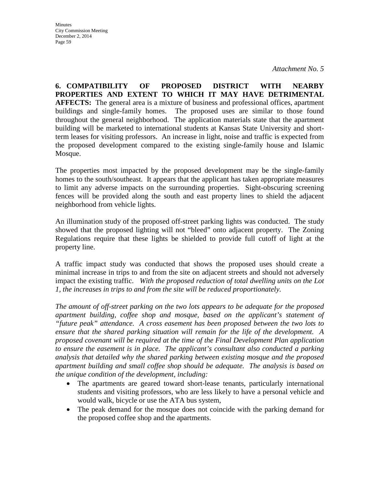**6. COMPATIBILITY OF PROPOSED DISTRICT WITH NEARBY PROPERTIES AND EXTENT TO WHICH IT MAY HAVE DETRIMENTAL AFFECTS:** The general area is a mixture of business and professional offices, apartment buildings and single-family homes. The proposed uses are similar to those found throughout the general neighborhood. The application materials state that the apartment building will be marketed to international students at Kansas State University and shortterm leases for visiting professors. An increase in light, noise and traffic is expected from the proposed development compared to the existing single-family house and Islamic Mosque.

The properties most impacted by the proposed development may be the single-family homes to the south/southeast. It appears that the applicant has taken appropriate measures to limit any adverse impacts on the surrounding properties. Sight-obscuring screening fences will be provided along the south and east property lines to shield the adjacent neighborhood from vehicle lights.

An illumination study of the proposed off-street parking lights was conducted. The study showed that the proposed lighting will not "bleed" onto adjacent property. The Zoning Regulations require that these lights be shielded to provide full cutoff of light at the property line.

A traffic impact study was conducted that shows the proposed uses should create a minimal increase in trips to and from the site on adjacent streets and should not adversely impact the existing traffic. *With the proposed reduction of total dwelling units on the Lot 1, the increases in trips to and from the site will be reduced proportionately.* 

*The amount of off-street parking on the two lots appears to be adequate for the proposed apartment building, coffee shop and mosque, based on the applicant's statement of "future peak" attendance. A cross easement has been proposed between the two lots to ensure that the shared parking situation will remain for the life of the development. A proposed covenant will be required at the time of the Final Development Plan application to ensure the easement is in place. The applicant's consultant also conducted a parking analysis that detailed why the shared parking between existing mosque and the proposed apartment building and small coffee shop should be adequate. The analysis is based on the unique condition of the development, including:*

- The apartments are geared toward short-lease tenants, particularly international students and visiting professors, who are less likely to have a personal vehicle and would walk, bicycle or use the ATA bus system,
- The peak demand for the mosque does not coincide with the parking demand for the proposed coffee shop and the apartments.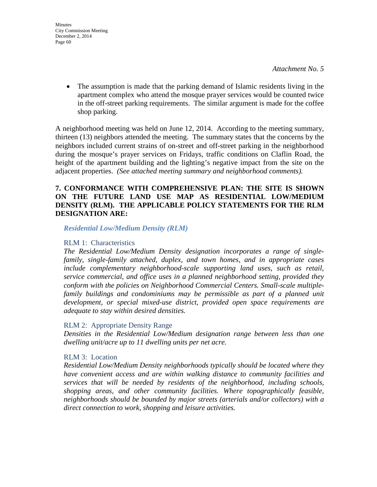• The assumption is made that the parking demand of Islamic residents living in the apartment complex who attend the mosque prayer services would be counted twice in the off-street parking requirements. The similar argument is made for the coffee shop parking.

A neighborhood meeting was held on June 12, 2014. According to the meeting summary, thirteen (13) neighbors attended the meeting. The summary states that the concerns by the neighbors included current strains of on-street and off-street parking in the neighborhood during the mosque's prayer services on Fridays, traffic conditions on Claflin Road, the height of the apartment building and the lighting's negative impact from the site on the adjacent properties. *(See attached meeting summary and neighborhood comments).*

## **7. CONFORMANCE WITH COMPREHENSIVE PLAN: THE SITE IS SHOWN ON THE FUTURE LAND USE MAP AS RESIDENTIAL LOW/MEDIUM DENSITY (RLM). THE APPLICABLE POLICY STATEMENTS FOR THE RLM DESIGNATION ARE:**

*Residential Low/Medium Density (RLM)*

### RLM 1: Characteristics

*The Residential Low/Medium Density designation incorporates a range of singlefamily, single-family attached, duplex, and town homes, and in appropriate cases include complementary neighborhood-scale supporting land uses, such as retail, service commercial, and office uses in a planned neighborhood setting, provided they conform with the policies on Neighborhood Commercial Centers. Small-scale multiplefamily buildings and condominiums may be permissible as part of a planned unit development, or special mixed-use district, provided open space requirements are adequate to stay within desired densities.* 

## RLM 2: Appropriate Density Range

*Densities in the Residential Low/Medium designation range between less than one dwelling unit/acre up to 11 dwelling units per net acre.* 

## RLM 3: Location

*Residential Low/Medium Density neighborhoods typically should be located where they have convenient access and are within walking distance to community facilities and services that will be needed by residents of the neighborhood, including schools, shopping areas, and other community facilities. Where topographically feasible, neighborhoods should be bounded by major streets (arterials and/or collectors) with a direct connection to work, shopping and leisure activities.*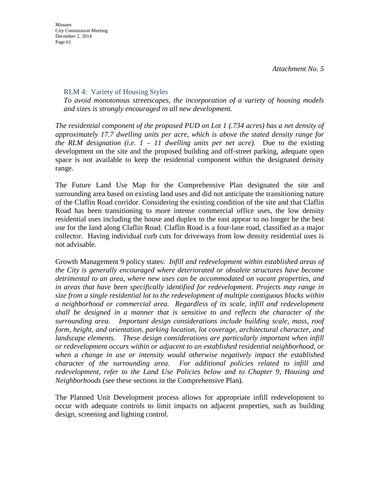**Minutes** City Commission Meeting December 2, 2014 Page 61

### RLM 4: Variety of Housing Styles

*To avoid monotonous streetscapes, the incorporation of a variety of housing models and sizes is strongly encouraged in all new development.* 

*The residential component of the proposed PUD on Lot 1 (.734 acres) has a net density of approximately 17.7 dwelling units per acre, which is above the stated density range for the RLM designation (i.e.*  $1 - 11$  *dwelling units per net acre).* Due to the existing development on the site and the proposed building and off-street parking, adequate open space is not available to keep the residential component within the designated density range.

The Future Land Use Map for the Comprehensive Plan designated the site and surrounding area based on existing land uses and did not anticipate the transitioning nature of the Claflin Road corridor. Considering the existing condition of the site and that Claflin Road has been transitioning to more intense commercial office uses, the low density residential uses including the house and duplex to the east appear to no longer be the best use for the land along Claflin Road. Claflin Road is a four-lane road, classified as a major collector. Having individual curb cuts for driveways from low density residential uses is not advisable.

Growth Management 9 policy states: *Infill and redevelopment within established areas of the City is generally encouraged where deteriorated or obsolete structures have become detrimental to an area, where new uses can be accommodated on vacant properties, and in areas that have been specifically identified for redevelopment. Projects may range in size from a single residential lot to the redevelopment of multiple contiguous blocks within a neighborhood or commercial area. Regardless of its scale, infill and redevelopment shall be designed in a manner that is sensitive to and reflects the character of the surrounding area. Important design considerations include building scale, mass, roof form, height, and orientation, parking location, lot coverage, architectural character, and landscape elements.* These design considerations are particularly important when infill *or redevelopment occurs within or adjacent to an established residential neighborhood, or*  when a change in use or intensity would otherwise negatively impact the established *character of the surrounding area. For additional policies related to infill and redevelopment, refer to the Land Use Policies below and to Chapter 9, Housing and Neighborhoods* (see these sections in the Comprehensive Plan)*.* 

The Planned Unit Development process allows for appropriate infill redevelopment to occur with adequate controls to limit impacts on adjacent properties, such as building design, screening and lighting control.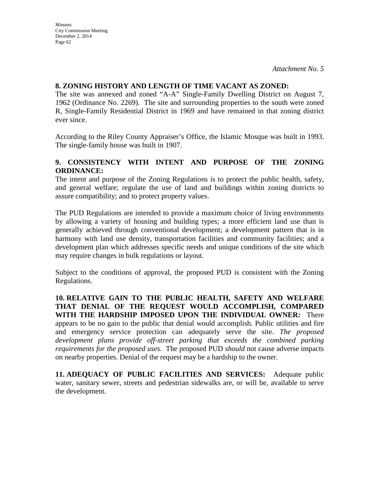#### **8. ZONING HISTORY AND LENGTH OF TIME VACANT AS ZONED:**

The site was annexed and zoned "A-A" Single-Family Dwelling District on August 7, 1962 (Ordinance No. 2269). The site and surrounding properties to the south were zoned R, Single-Family Residential District in 1969 and have remained in that zoning district ever since.

According to the Riley County Appraiser's Office, the Islamic Mosque was built in 1993. The single-family house was built in 1907.

## **9. CONSISTENCY WITH INTENT AND PURPOSE OF THE ZONING ORDINANCE:**

The intent and purpose of the Zoning Regulations is to protect the public health, safety, and general welfare; regulate the use of land and buildings within zoning districts to assure compatibility; and to protect property values.

The PUD Regulations are intended to provide a maximum choice of living environments by allowing a variety of housing and building types; a more efficient land use than is generally achieved through conventional development; a development pattern that is in harmony with land use density, transportation facilities and community facilities; and a development plan which addresses specific needs and unique conditions of the site which may require changes in bulk regulations or layout.

Subject to the conditions of approval, the proposed PUD is consistent with the Zoning Regulations.

**10. RELATIVE GAIN TO THE PUBLIC HEALTH, SAFETY AND WELFARE THAT DENIAL OF THE REQUEST WOULD ACCOMPLISH, COMPARED WITH THE HARDSHIP IMPOSED UPON THE INDIVIDUAL OWNER:** There appears to be no gain to the public that denial would accomplish. Public utilities and fire and emergency service protection can adequately serve the site. *The proposed*  development plans provide off-street parking that exceeds the combined parking *requirements for the proposed uses.* The proposed PUD *should* not cause adverse impacts on nearby properties. Denial of the request may be a hardship to the owner.

**11. ADEQUACY OF PUBLIC FACILITIES AND SERVICES:** Adequate public water, sanitary sewer, streets and pedestrian sidewalks are, or will be, available to serve the development.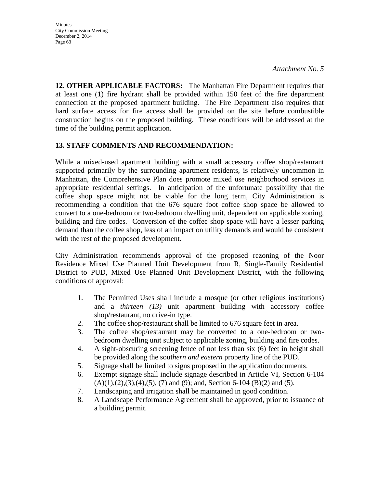**Minutes** City Commission Meeting December 2, 2014 Page 63

**12. OTHER APPLICABLE FACTORS:** The Manhattan Fire Department requires that at least one (1) fire hydrant shall be provided within 150 feet of the fire department connection at the proposed apartment building. The Fire Department also requires that hard surface access for fire access shall be provided on the site before combustible construction begins on the proposed building. These conditions will be addressed at the time of the building permit application.

#### **13. STAFF COMMENTS AND RECOMMENDATION:**

While a mixed-used apartment building with a small accessory coffee shop/restaurant supported primarily by the surrounding apartment residents, is relatively uncommon in Manhattan, the Comprehensive Plan does promote mixed use neighborhood services in appropriate residential settings. In anticipation of the unfortunate possibility that the coffee shop space might not be viable for the long term, City Administration is recommending a condition that the 676 square foot coffee shop space be allowed to convert to a one-bedroom or two-bedroom dwelling unit, dependent on applicable zoning, building and fire codes. Conversion of the coffee shop space will have a lesser parking demand than the coffee shop, less of an impact on utility demands and would be consistent with the rest of the proposed development.

City Administration recommends approval of the proposed rezoning of the Noor Residence Mixed Use Planned Unit Development from R, Single-Family Residential District to PUD, Mixed Use Planned Unit Development District, with the following conditions of approval:

- 1. The Permitted Uses shall include a mosque (or other religious institutions) and a *thirteen (13)* unit apartment building with accessory coffee shop/restaurant, no drive-in type.
- 2. The coffee shop/restaurant shall be limited to 676 square feet in area.
- 3. The coffee shop/restaurant may be converted to a one-bedroom or twobedroom dwelling unit subject to applicable zoning, building and fire codes.
- 4. A sight-obscuring screening fence of not less than six (6) feet in height shall be provided along the sout*hern and eastern* property line of the PUD.
- 5. Signage shall be limited to signs proposed in the application documents.
- 6. Exempt signage shall include signage described in Article VI, Section 6-104  $(A)(1),(2),(3),(4),(5),(7)$  and  $(9)$ ; and, Section 6-104 (B)(2) and (5).
- 7. Landscaping and irrigation shall be maintained in good condition.
- 8. A Landscape Performance Agreement shall be approved, prior to issuance of a building permit.